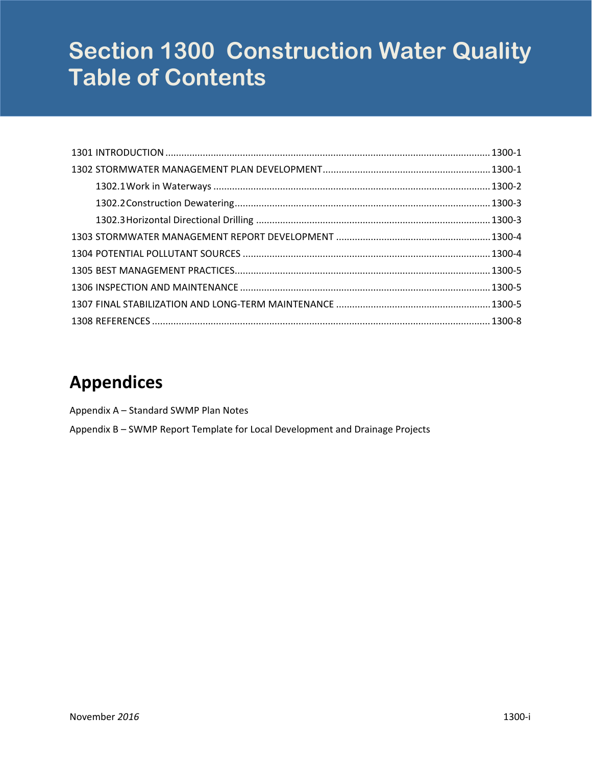# **Section 1300 Construction Water Quality Table of Contents**

# **Appendices**

[Appendix](#page-10-0) A – Standard SWMP Plan Notes

Appendix B – SWMP Report Template for Local [Development](#page-14-0) and Drainage Projects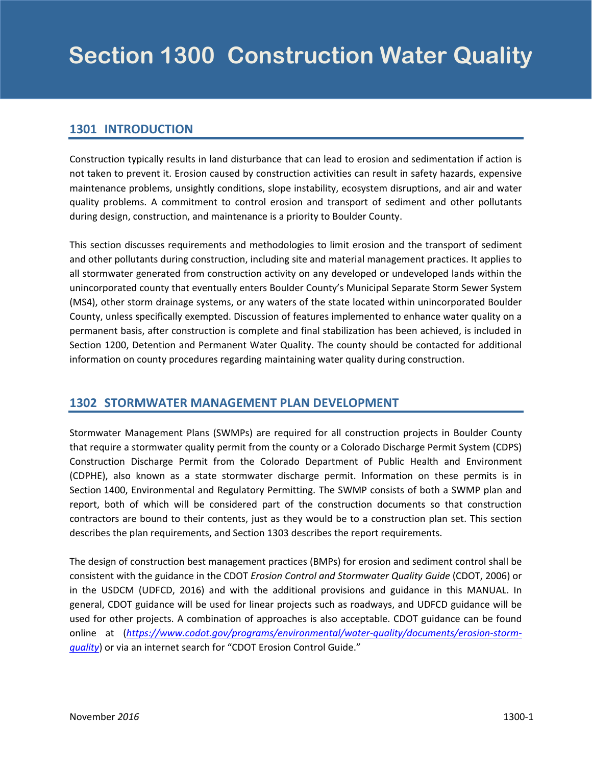#### <span id="page-2-0"></span>**1301 INTRODUCTION**

Construction typically results in land disturbance that can lead to erosion and sedimentation if action is not taken to prevent it. Erosion caused by construction activities can result in safety hazards, expensive maintenance problems, unsightly conditions, slope instability, ecosystem disruptions, and air and water quality problems. A commitment to control erosion and transport of sediment and other pollutants during design, construction, and maintenance is a priority to Boulder County.

This section discusses requirements and methodologies to limit erosion and the transport of sediment and other pollutants during construction, including site and material management practices. It applies to all stormwater generated from construction activity on any developed or undeveloped lands within the unincorporated county that eventually enters Boulder County's Municipal Separate Storm Sewer System (MS4), other storm drainage systems, or any waters of the state located within unincorporated Boulder County, unless specifically exempted. Discussion of features implemented to enhance water quality on a permanent basis, after construction is complete and final stabilization has been achieved, is included in Section 1200, Detention and Permanent Water Quality. The county should be contacted for additional information on county procedures regarding maintaining water quality during construction.

#### **1302 STORMWATER MANAGEMENT PLAN DEVELOPMENT**

Stormwater Management Plans (SWMPs) are required for all construction projects in Boulder County that require a stormwater quality permit from the county or a Colorado Discharge Permit System (CDPS) Construction Discharge Permit from the Colorado Department of Public Health and Environment (CDPHE), also known as a state stormwater discharge permit. Information on these permits is in Section 1400, Environmental and Regulatory Permitting. The SWMP consists of both a SWMP plan and report, both of which will be considered part of the construction documents so that construction contractors are bound to their contents, just as they would be to a construction plan set. This section describes the plan requirements, and Section 1303 describes the report requirements.

The design of construction best management practices (BMPs) for erosion and sediment control shall be consistent with the guidance in the CDOT *Erosion Control and Stormwater Quality Guide* (CDOT, 2006) or in the USDCM (UDFCD, 2016) and with the additional provisions and guidance in this MANUAL. In general, CDOT guidance will be used for linear projects such as roadways, and UDFCD guidance will be used for other projects. A combination of approaches is also acceptable. CDOT guidance can be found online at (*https://www.codot.gov/programs/environmental/water‐quality/documents/erosion‐storm‐ quality*) or via an internet search for "CDOT Erosion Control Guide."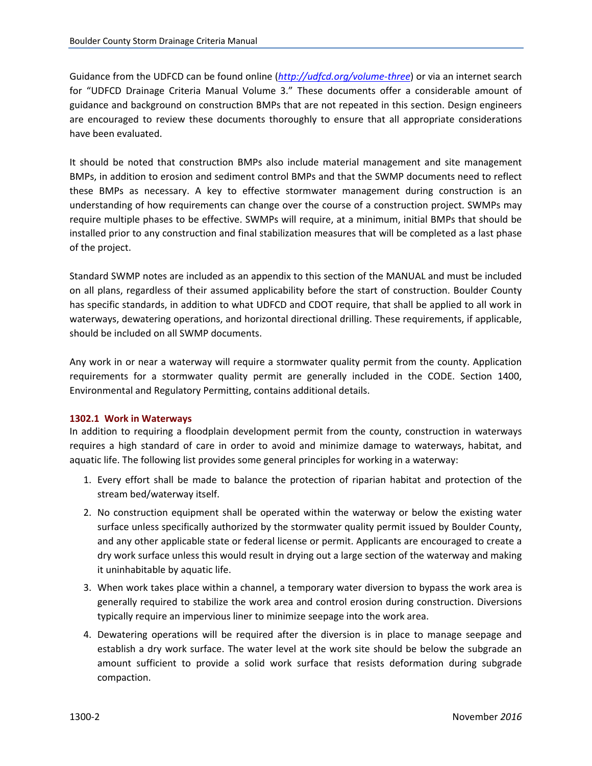<span id="page-3-0"></span>Guidance from the UDFCD can be found online (*http://udfcd.org/volume‐three*) or via an internet search for "UDFCD Drainage Criteria Manual Volume 3." These documents offer a considerable amount of guidance and background on construction BMPs that are not repeated in this section. Design engineers are encouraged to review these documents thoroughly to ensure that all appropriate considerations have been evaluated.

It should be noted that construction BMPs also include material management and site management BMPs, in addition to erosion and sediment control BMPs and that the SWMP documents need to reflect these BMPs as necessary. A key to effective stormwater management during construction is an understanding of how requirements can change over the course of a construction project. SWMPs may require multiple phases to be effective. SWMPs will require, at a minimum, initial BMPs that should be installed prior to any construction and final stabilization measures that will be completed as a last phase of the project.

Standard SWMP notes are included as an appendix to this section of the MANUAL and must be included on all plans, regardless of their assumed applicability before the start of construction. Boulder County has specific standards, in addition to what UDFCD and CDOT require, that shall be applied to all work in waterways, dewatering operations, and horizontal directional drilling. These requirements, if applicable, should be included on all SWMP documents.

Any work in or near a waterway will require a stormwater quality permit from the county. Application requirements for a stormwater quality permit are generally included in the CODE. Section 1400, Environmental and Regulatory Permitting, contains additional details.

#### **1302.1 Work in Waterways**

In addition to requiring a floodplain development permit from the county, construction in waterways requires a high standard of care in order to avoid and minimize damage to waterways, habitat, and aquatic life. The following list provides some general principles for working in a waterway:

- 1. Every effort shall be made to balance the protection of riparian habitat and protection of the stream bed/waterway itself.
- 2. No construction equipment shall be operated within the waterway or below the existing water surface unless specifically authorized by the stormwater quality permit issued by Boulder County, and any other applicable state or federal license or permit. Applicants are encouraged to create a dry work surface unless this would result in drying out a large section of the waterway and making it uninhabitable by aquatic life.
- 3. When work takes place within a channel, a temporary water diversion to bypass the work area is generally required to stabilize the work area and control erosion during construction. Diversions typically require an impervious liner to minimize seepage into the work area.
- 4. Dewatering operations will be required after the diversion is in place to manage seepage and establish a dry work surface. The water level at the work site should be below the subgrade an amount sufficient to provide a solid work surface that resists deformation during subgrade compaction.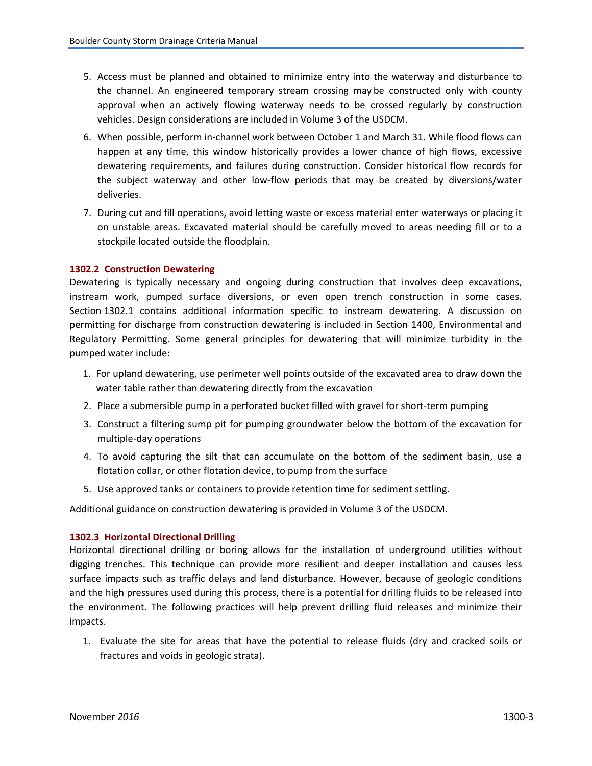- <span id="page-4-0"></span>5. Access must be planned and obtained to minimize entry into the waterway and disturbance to the channel. An engineered temporary stream crossing may be constructed only with county approval when an actively flowing waterway needs to be crossed regularly by construction vehicles. Design considerations are included in Volume 3 of the USDCM.
- 6. When possible, perform in‐channel work between October 1 and March 31. While flood flows can happen at any time, this window historically provides a lower chance of high flows, excessive dewatering requirements, and failures during construction. Consider historical flow records for the subject waterway and other low‐flow periods that may be created by diversions/water deliveries.
- 7. During cut and fill operations, avoid letting waste or excess material enter waterways or placing it on unstable areas. Excavated material should be carefully moved to areas needing fill or to a stockpile located outside the floodplain.

#### **1302.2 Construction Dewatering**

Dewatering is typically necessary and ongoing during construction that involves deep excavations, instream work, pumped surface diversions, or even open trench construction in some cases. Section 1302.1 contains additional information specific to instream dewatering. A discussion on permitting for discharge from construction dewatering is included in Section 1400, Environmental and Regulatory Permitting. Some general principles for dewatering that will minimize turbidity in the pumped water include:

- 1. For upland dewatering, use perimeter well points outside of the excavated area to draw down the water table rather than dewatering directly from the excavation
- 2. Place a submersible pump in a perforated bucket filled with gravel for short-term pumping
- 3. Construct a filtering sump pit for pumping groundwater below the bottom of the excavation for multiple‐day operations
- 4. To avoid capturing the silt that can accumulate on the bottom of the sediment basin, use a flotation collar, or other flotation device, to pump from the surface
- 5. Use approved tanks or containers to provide retention time for sediment settling.

Additional guidance on construction dewatering is provided in Volume 3 of the USDCM.

#### **1302.3 Horizontal Directional Drilling**

Horizontal directional drilling or boring allows for the installation of underground utilities without digging trenches. This technique can provide more resilient and deeper installation and causes less surface impacts such as traffic delays and land disturbance. However, because of geologic conditions and the high pressures used during this process, there is a potential for drilling fluids to be released into the environment. The following practices will help prevent drilling fluid releases and minimize their impacts.

1. Evaluate the site for areas that have the potential to release fluids (dry and cracked soils or fractures and voids in geologic strata).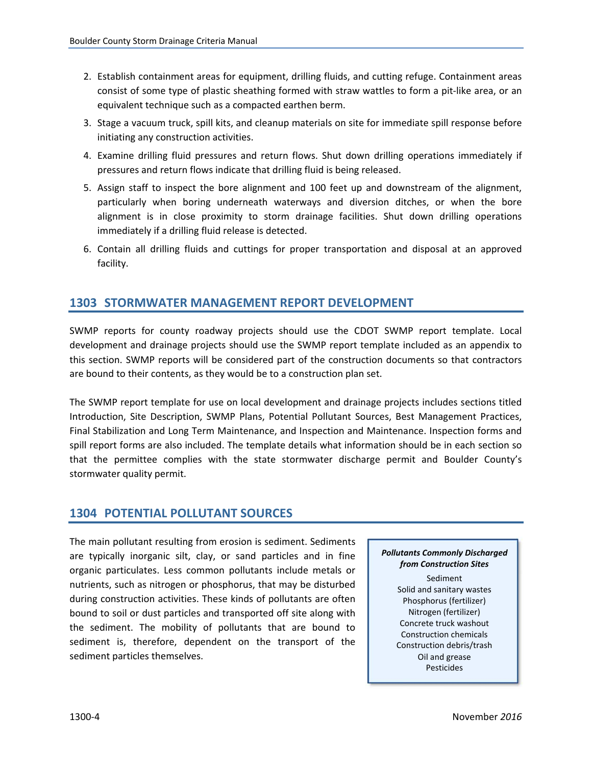- <span id="page-5-0"></span>2. Establish containment areas for equipment, drilling fluids, and cutting refuge. Containment areas consist of some type of plastic sheathing formed with straw wattles to form a pit‐like area, or an equivalent technique such as a compacted earthen berm.
- 3. Stage a vacuum truck, spill kits, and cleanup materials on site for immediate spill response before initiating any construction activities.
- 4. Examine drilling fluid pressures and return flows. Shut down drilling operations immediately if pressures and return flows indicate that drilling fluid is being released.
- 5. Assign staff to inspect the bore alignment and 100 feet up and downstream of the alignment, particularly when boring underneath waterways and diversion ditches, or when the bore alignment is in close proximity to storm drainage facilities. Shut down drilling operations immediately if a drilling fluid release is detected.
- 6. Contain all drilling fluids and cuttings for proper transportation and disposal at an approved facility.

#### **1303 STORMWATER MANAGEMENT REPORT DEVELOPMENT**

SWMP reports for county roadway projects should use the CDOT SWMP report template. Local development and drainage projects should use the SWMP report template included as an appendix to this section. SWMP reports will be considered part of the construction documents so that contractors are bound to their contents, as they would be to a construction plan set.

The SWMP report template for use on local development and drainage projects includes sections titled Introduction, Site Description, SWMP Plans, Potential Pollutant Sources, Best Management Practices, Final Stabilization and Long Term Maintenance, and Inspection and Maintenance. Inspection forms and spill report forms are also included. The template details what information should be in each section so that the permittee complies with the state stormwater discharge permit and Boulder County's stormwater quality permit.

#### **1304 POTENTIAL POLLUTANT SOURCES**

The main pollutant resulting from erosion is sediment. Sediments are typically inorganic silt, clay, or sand particles and in fine organic particulates. Less common pollutants include metals or nutrients, such as nitrogen or phosphorus, that may be disturbed during construction activities. These kinds of pollutants are often bound to soil or dust particles and transported off site along with the sediment. The mobility of pollutants that are bound to sediment is, therefore, dependent on the transport of the sediment particles themselves.

#### *Pollutants Commonly Discharged from Construction Sites*

Sediment Solid and sanitary wastes Phosphorus (fertilizer) Nitrogen (fertilizer) Concrete truck washout Construction chemicals Construction debris/trash Oil and grease Pesticides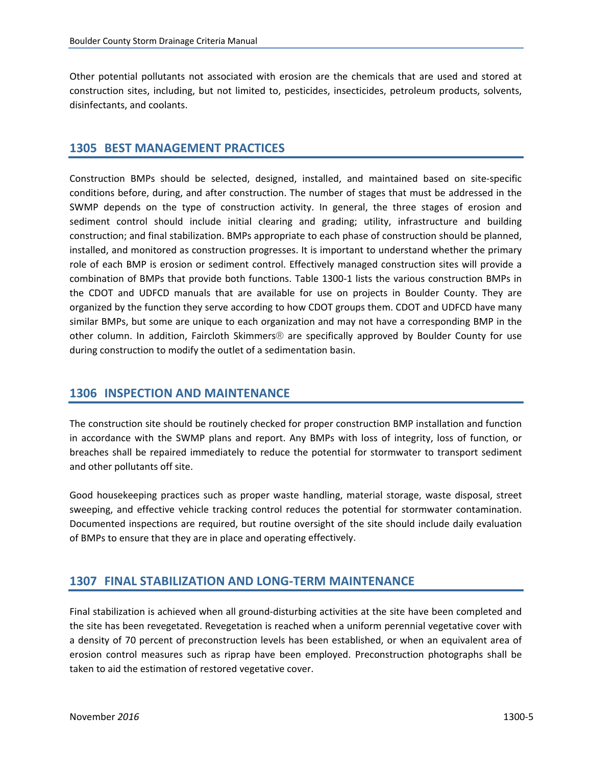<span id="page-6-0"></span>Other potential pollutants not associated with erosion are the chemicals that are used and stored at construction sites, including, but not limited to, pesticides, insecticides, petroleum products, solvents, disinfectants, and coolants.

#### **1305 BEST MANAGEMENT PRACTICES**

Construction BMPs should be selected, designed, installed, and maintained based on site‐specific conditions before, during, and after construction. The number of stages that must be addressed in the SWMP depends on the type of construction activity. In general, the three stages of erosion and sediment control should include initial clearing and grading; utility, infrastructure and building construction; and final stabilization. BMPs appropriate to each phase of construction should be planned, installed, and monitored as construction progresses. It is important to understand whether the primary role of each BMP is erosion or sediment control. Effectively managed construction sites will provide a combination of BMPs that provide both functions. Table 1300‐1 lists the various construction BMPs in the CDOT and UDFCD manuals that are available for use on projects in Boulder County. They are organized by the function they serve according to how CDOT groups them. CDOT and UDFCD have many similar BMPs, but some are unique to each organization and may not have a corresponding BMP in the other column. In addition, Faircloth Skimmers® are specifically approved by Boulder County for use during construction to modify the outlet of a sedimentation basin.

#### **1306 INSPECTION AND MAINTENANCE**

The construction site should be routinely checked for proper construction BMP installation and function in accordance with the SWMP plans and report. Any BMPs with loss of integrity, loss of function, or breaches shall be repaired immediately to reduce the potential for stormwater to transport sediment and other pollutants off site.

Good housekeeping practices such as proper waste handling, material storage, waste disposal, street sweeping, and effective vehicle tracking control reduces the potential for stormwater contamination. Documented inspections are required, but routine oversight of the site should include daily evaluation of BMPs to ensure that they are in place and operating effectively.

#### **1307 FINAL STABILIZATION AND LONG‐TERM MAINTENANCE**

Final stabilization is achieved when all ground‐disturbing activities at the site have been completed and the site has been revegetated. Revegetation is reached when a uniform perennial vegetative cover with a density of 70 percent of preconstruction levels has been established, or when an equivalent area of erosion control measures such as riprap have been employed. Preconstruction photographs shall be taken to aid the estimation of restored vegetative cover.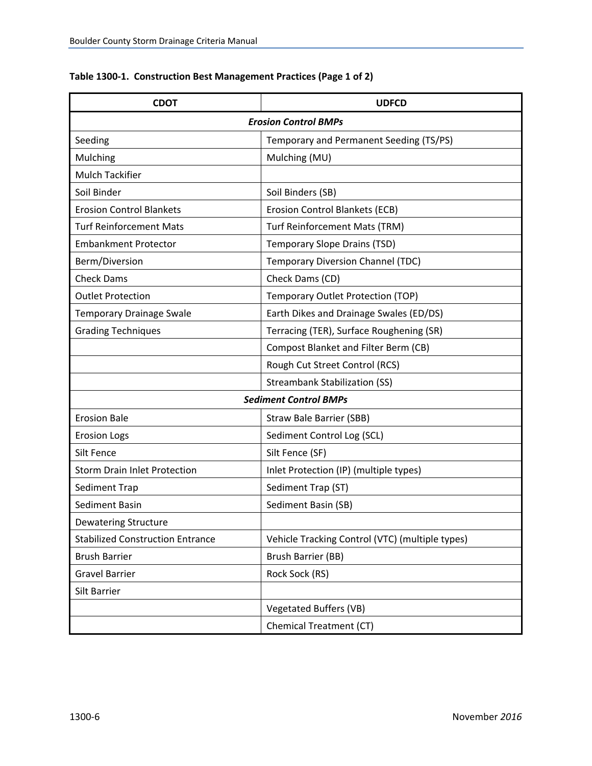| <b>CDOT</b>                             | <b>UDFCD</b>                                    |  |  |
|-----------------------------------------|-------------------------------------------------|--|--|
| <b>Erosion Control BMPs</b>             |                                                 |  |  |
| Seeding                                 | Temporary and Permanent Seeding (TS/PS)         |  |  |
| Mulching                                | Mulching (MU)                                   |  |  |
| <b>Mulch Tackifier</b>                  |                                                 |  |  |
| Soil Binder                             | Soil Binders (SB)                               |  |  |
| <b>Erosion Control Blankets</b>         | Erosion Control Blankets (ECB)                  |  |  |
| <b>Turf Reinforcement Mats</b>          | Turf Reinforcement Mats (TRM)                   |  |  |
| <b>Embankment Protector</b>             | Temporary Slope Drains (TSD)                    |  |  |
| Berm/Diversion                          | <b>Temporary Diversion Channel (TDC)</b>        |  |  |
| <b>Check Dams</b>                       | Check Dams (CD)                                 |  |  |
| <b>Outlet Protection</b>                | Temporary Outlet Protection (TOP)               |  |  |
| <b>Temporary Drainage Swale</b>         | Earth Dikes and Drainage Swales (ED/DS)         |  |  |
| <b>Grading Techniques</b>               | Terracing (TER), Surface Roughening (SR)        |  |  |
|                                         | <b>Compost Blanket and Filter Berm (CB)</b>     |  |  |
|                                         | Rough Cut Street Control (RCS)                  |  |  |
|                                         | <b>Streambank Stabilization (SS)</b>            |  |  |
| <b>Sediment Control BMPs</b>            |                                                 |  |  |
| <b>Erosion Bale</b>                     | <b>Straw Bale Barrier (SBB)</b>                 |  |  |
| <b>Erosion Logs</b>                     | Sediment Control Log (SCL)                      |  |  |
| Silt Fence                              | Silt Fence (SF)                                 |  |  |
| <b>Storm Drain Inlet Protection</b>     | Inlet Protection (IP) (multiple types)          |  |  |
| Sediment Trap                           | Sediment Trap (ST)                              |  |  |
| Sediment Basin                          | Sediment Basin (SB)                             |  |  |
| <b>Dewatering Structure</b>             |                                                 |  |  |
| <b>Stabilized Construction Entrance</b> | Vehicle Tracking Control (VTC) (multiple types) |  |  |
| <b>Brush Barrier</b>                    | Brush Barrier (BB)                              |  |  |
| <b>Gravel Barrier</b>                   | Rock Sock (RS)                                  |  |  |
| Silt Barrier                            |                                                 |  |  |
|                                         | Vegetated Buffers (VB)                          |  |  |
|                                         | <b>Chemical Treatment (CT)</b>                  |  |  |

#### **Table 1300‐1. Construction Best Management Practices (Page 1 of 2)**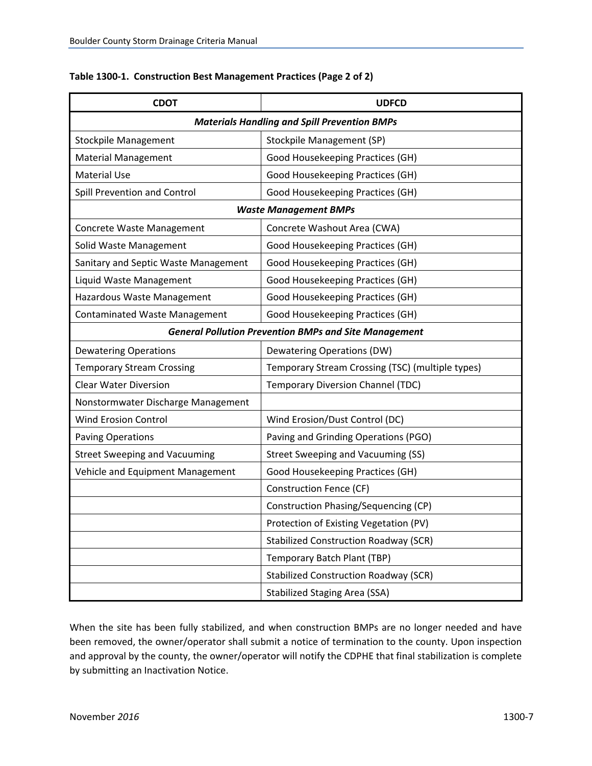| <b>CDOT</b>                                         | <b>UDFCD</b>                                                 |  |  |
|-----------------------------------------------------|--------------------------------------------------------------|--|--|
| <b>Materials Handling and Spill Prevention BMPs</b> |                                                              |  |  |
| <b>Stockpile Management</b>                         | Stockpile Management (SP)                                    |  |  |
| <b>Material Management</b>                          | Good Housekeeping Practices (GH)                             |  |  |
| <b>Material Use</b>                                 | Good Housekeeping Practices (GH)                             |  |  |
| Spill Prevention and Control                        | Good Housekeeping Practices (GH)                             |  |  |
|                                                     | <b>Waste Management BMPs</b>                                 |  |  |
| Concrete Waste Management                           | Concrete Washout Area (CWA)                                  |  |  |
| Solid Waste Management                              | Good Housekeeping Practices (GH)                             |  |  |
| Sanitary and Septic Waste Management                | Good Housekeeping Practices (GH)                             |  |  |
| Liquid Waste Management                             | Good Housekeeping Practices (GH)                             |  |  |
| Hazardous Waste Management                          | Good Housekeeping Practices (GH)                             |  |  |
| Contaminated Waste Management                       | Good Housekeeping Practices (GH)                             |  |  |
|                                                     | <b>General Pollution Prevention BMPs and Site Management</b> |  |  |
| <b>Dewatering Operations</b>                        | <b>Dewatering Operations (DW)</b>                            |  |  |
| <b>Temporary Stream Crossing</b>                    | Temporary Stream Crossing (TSC) (multiple types)             |  |  |
| <b>Clear Water Diversion</b>                        | <b>Temporary Diversion Channel (TDC)</b>                     |  |  |
| Nonstormwater Discharge Management                  |                                                              |  |  |
| <b>Wind Erosion Control</b>                         | Wind Erosion/Dust Control (DC)                               |  |  |
| <b>Paving Operations</b>                            | Paving and Grinding Operations (PGO)                         |  |  |
| <b>Street Sweeping and Vacuuming</b>                | <b>Street Sweeping and Vacuuming (SS)</b>                    |  |  |
| Vehicle and Equipment Management                    | Good Housekeeping Practices (GH)                             |  |  |
|                                                     | <b>Construction Fence (CF)</b>                               |  |  |
|                                                     | Construction Phasing/Sequencing (CP)                         |  |  |
|                                                     | Protection of Existing Vegetation (PV)                       |  |  |
|                                                     | <b>Stabilized Construction Roadway (SCR)</b>                 |  |  |
|                                                     | Temporary Batch Plant (TBP)                                  |  |  |
|                                                     | <b>Stabilized Construction Roadway (SCR)</b>                 |  |  |
|                                                     | <b>Stabilized Staging Area (SSA)</b>                         |  |  |

#### **Table 1300‐1. Construction Best Management Practices (Page 2 of 2)**

When the site has been fully stabilized, and when construction BMPs are no longer needed and have been removed, the owner/operator shall submit a notice of termination to the county. Upon inspection and approval by the county, the owner/operator will notify the CDPHE that final stabilization is complete by submitting an Inactivation Notice.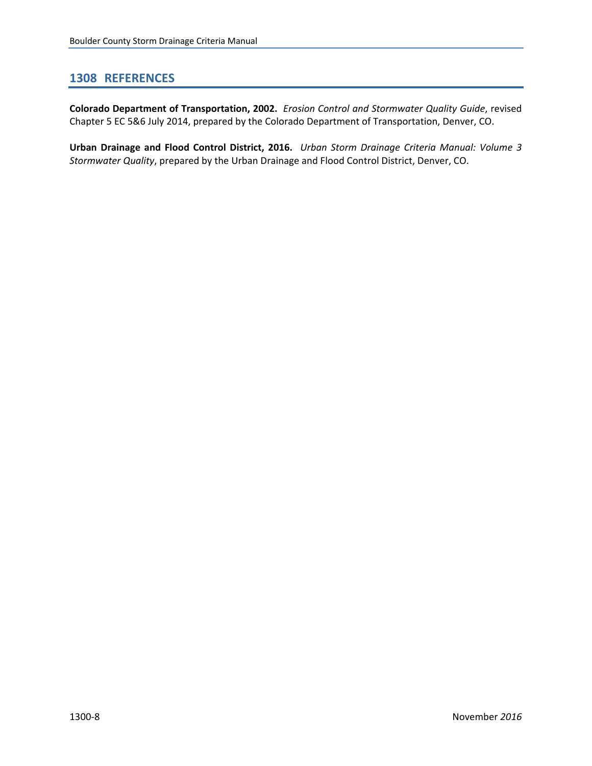#### <span id="page-9-0"></span>**1308 REFERENCES**

**Colorado Department of Transportation, 2002.** *Erosion Control and Stormwater Quality Guide*, revised Chapter 5 EC 5&6 July 2014, prepared by the Colorado Department of Transportation, Denver, CO.

**Urban Drainage and Flood Control District, 2016.** *Urban Storm Drainage Criteria Manual: Volume 3 Stormwater Quality*, prepared by the Urban Drainage and Flood Control District, Denver, CO.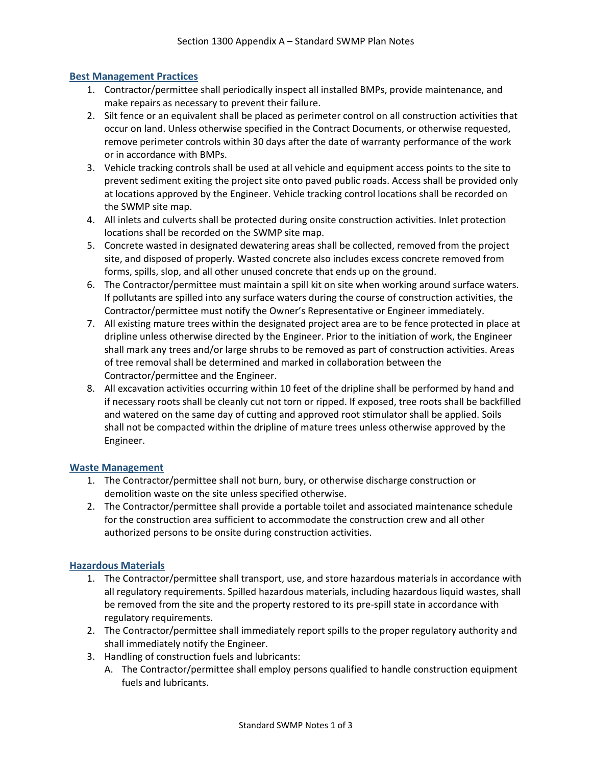#### <span id="page-10-0"></span>**Best Management Practices**

- 1. Contractor/permittee shall periodically inspect all installed BMPs, provide maintenance, and make repairs as necessary to prevent their failure.
- 2. Silt fence or an equivalent shall be placed as perimeter control on all construction activities that occur on land. Unless otherwise specified in the Contract Documents, or otherwise requested, remove perimeter controls within 30 days after the date of warranty performance of the work or in accordance with BMPs.
- 3. Vehicle tracking controls shall be used at all vehicle and equipment access points to the site to prevent sediment exiting the project site onto paved public roads. Access shall be provided only at locations approved by the Engineer. Vehicle tracking control locations shall be recorded on the SWMP site map.
- 4. All inlets and culverts shall be protected during onsite construction activities. Inlet protection locations shall be recorded on the SWMP site map.
- 5. Concrete wasted in designated dewatering areas shall be collected, removed from the project site, and disposed of properly. Wasted concrete also includes excess concrete removed from forms, spills, slop, and all other unused concrete that ends up on the ground.
- 6. The Contractor/permittee must maintain a spill kit on site when working around surface waters. If pollutants are spilled into any surface waters during the course of construction activities, the Contractor/permittee must notify the Owner's Representative or Engineer immediately.
- 7. All existing mature trees within the designated project area are to be fence protected in place at dripline unless otherwise directed by the Engineer. Prior to the initiation of work, the Engineer shall mark any trees and/or large shrubs to be removed as part of construction activities. Areas of tree removal shall be determined and marked in collaboration between the Contractor/permittee and the Engineer.
- 8. All excavation activities occurring within 10 feet of the dripline shall be performed by hand and if necessary roots shall be cleanly cut not torn or ripped. If exposed, tree roots shall be backfilled and watered on the same day of cutting and approved root stimulator shall be applied. Soils shall not be compacted within the dripline of mature trees unless otherwise approved by the Engineer.

#### **Waste Management**

- 1. The Contractor/permittee shall not burn, bury, or otherwise discharge construction or demolition waste on the site unless specified otherwise.
- 2. The Contractor/permittee shall provide a portable toilet and associated maintenance schedule for the construction area sufficient to accommodate the construction crew and all other authorized persons to be onsite during construction activities.

#### **Hazardous Materials**

- 1. The Contractor/permittee shall transport, use, and store hazardous materials in accordance with all regulatory requirements. Spilled hazardous materials, including hazardous liquid wastes, shall be removed from the site and the property restored to its pre-spill state in accordance with regulatory requirements.
- 2. The Contractor/permittee shall immediately report spills to the proper regulatory authority and shall immediately notify the Engineer.
- 3. Handling of construction fuels and lubricants:
	- A. The Contractor/permittee shall employ persons qualified to handle construction equipment fuels and lubricants.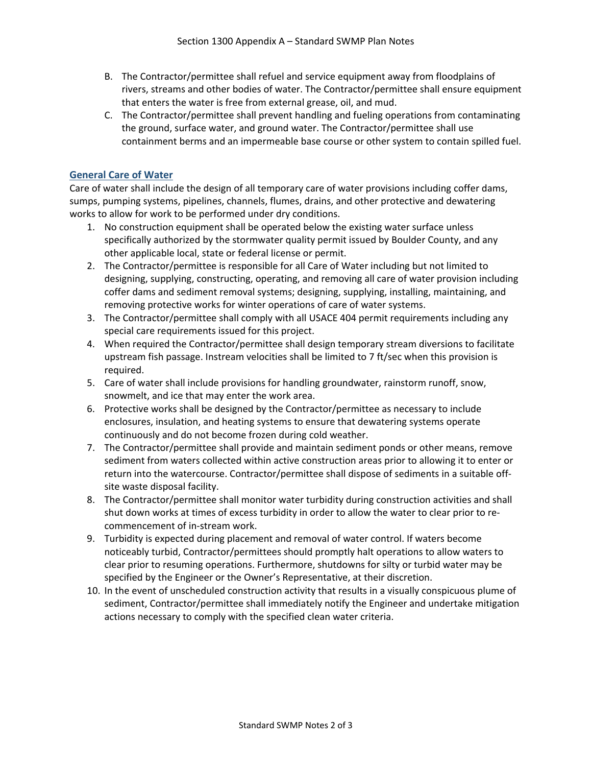- B. The Contractor/permittee shall refuel and service equipment away from floodplains of rivers, streams and other bodies of water. The Contractor/permittee shall ensure equipment that enters the water is free from external grease, oil, and mud.
- C. The Contractor/permittee shall prevent handling and fueling operations from contaminating the ground, surface water, and ground water. The Contractor/permittee shall use containment berms and an impermeable base course or other system to contain spilled fuel.

#### **General Care of Water**

Care of water shall include the design of all temporary care of water provisions including coffer dams, sumps, pumping systems, pipelines, channels, flumes, drains, and other protective and dewatering works to allow for work to be performed under dry conditions.

- 1. No construction equipment shall be operated below the existing water surface unless specifically authorized by the stormwater quality permit issued by Boulder County, and any other applicable local, state or federal license or permit.
- 2. The Contractor/permittee is responsible for all Care of Water including but not limited to designing, supplying, constructing, operating, and removing all care of water provision including coffer dams and sediment removal systems; designing, supplying, installing, maintaining, and removing protective works for winter operations of care of water systems.
- 3. The Contractor/permittee shall comply with all USACE 404 permit requirements including any special care requirements issued for this project.
- 4. When required the Contractor/permittee shall design temporary stream diversions to facilitate upstream fish passage. Instream velocities shall be limited to 7 ft/sec when this provision is required.
- 5. Care of water shall include provisions for handling groundwater, rainstorm runoff, snow, snowmelt, and ice that may enter the work area.
- 6. Protective works shall be designed by the Contractor/permittee as necessary to include enclosures, insulation, and heating systems to ensure that dewatering systems operate continuously and do not become frozen during cold weather.
- 7. The Contractor/permittee shall provide and maintain sediment ponds or other means, remove sediment from waters collected within active construction areas prior to allowing it to enter or return into the watercourse. Contractor/permittee shall dispose of sediments in a suitable off‐ site waste disposal facility.
- 8. The Contractor/permittee shall monitor water turbidity during construction activities and shall shut down works at times of excess turbidity in order to allow the water to clear prior to re‐ commencement of in‐stream work.
- 9. Turbidity is expected during placement and removal of water control. If waters become noticeably turbid, Contractor/permittees should promptly halt operations to allow waters to clear prior to resuming operations. Furthermore, shutdowns for silty or turbid water may be specified by the Engineer or the Owner's Representative, at their discretion.
- 10. In the event of unscheduled construction activity that results in a visually conspicuous plume of sediment, Contractor/permittee shall immediately notify the Engineer and undertake mitigation actions necessary to comply with the specified clean water criteria.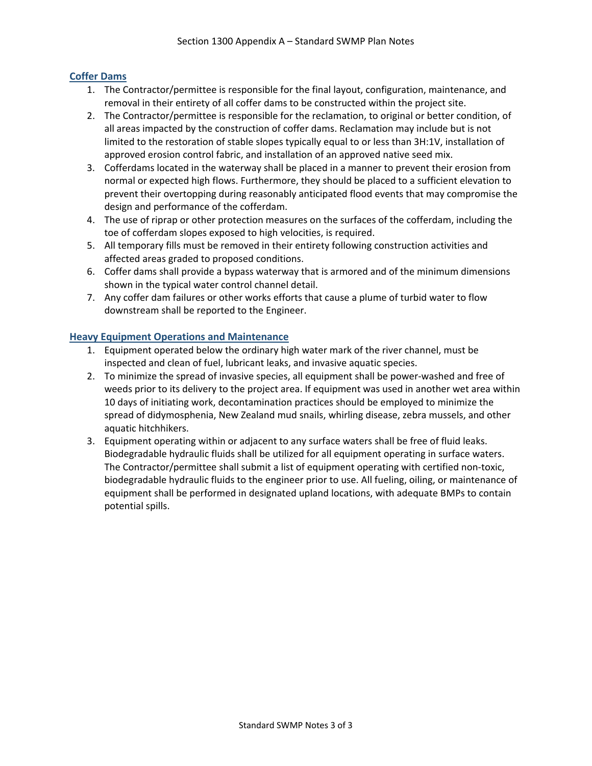#### **Coffer Dams**

- 1. The Contractor/permittee is responsible for the final layout, configuration, maintenance, and removal in their entirety of all coffer dams to be constructed within the project site.
- 2. The Contractor/permittee is responsible for the reclamation, to original or better condition, of all areas impacted by the construction of coffer dams. Reclamation may include but is not limited to the restoration of stable slopes typically equal to or less than 3H:1V, installation of approved erosion control fabric, and installation of an approved native seed mix.
- 3. Cofferdams located in the waterway shall be placed in a manner to prevent their erosion from normal or expected high flows. Furthermore, they should be placed to a sufficient elevation to prevent their overtopping during reasonably anticipated flood events that may compromise the design and performance of the cofferdam.
- 4. The use of riprap or other protection measures on the surfaces of the cofferdam, including the toe of cofferdam slopes exposed to high velocities, is required.
- 5. All temporary fills must be removed in their entirety following construction activities and affected areas graded to proposed conditions.
- 6. Coffer dams shall provide a bypass waterway that is armored and of the minimum dimensions shown in the typical water control channel detail.
- 7. Any coffer dam failures or other works efforts that cause a plume of turbid water to flow downstream shall be reported to the Engineer.

#### **Heavy Equipment Operations and Maintenance**

- 1. Equipment operated below the ordinary high water mark of the river channel, must be inspected and clean of fuel, lubricant leaks, and invasive aquatic species.
- 2. To minimize the spread of invasive species, all equipment shall be power-washed and free of weeds prior to its delivery to the project area. If equipment was used in another wet area within 10 days of initiating work, decontamination practices should be employed to minimize the spread of didymosphenia, New Zealand mud snails, whirling disease, zebra mussels, and other aquatic hitchhikers.
- 3. Equipment operating within or adjacent to any surface waters shall be free of fluid leaks. Biodegradable hydraulic fluids shall be utilized for all equipment operating in surface waters. The Contractor/permittee shall submit a list of equipment operating with certified non‐toxic, biodegradable hydraulic fluids to the engineer prior to use. All fueling, oiling, or maintenance of equipment shall be performed in designated upland locations, with adequate BMPs to contain potential spills.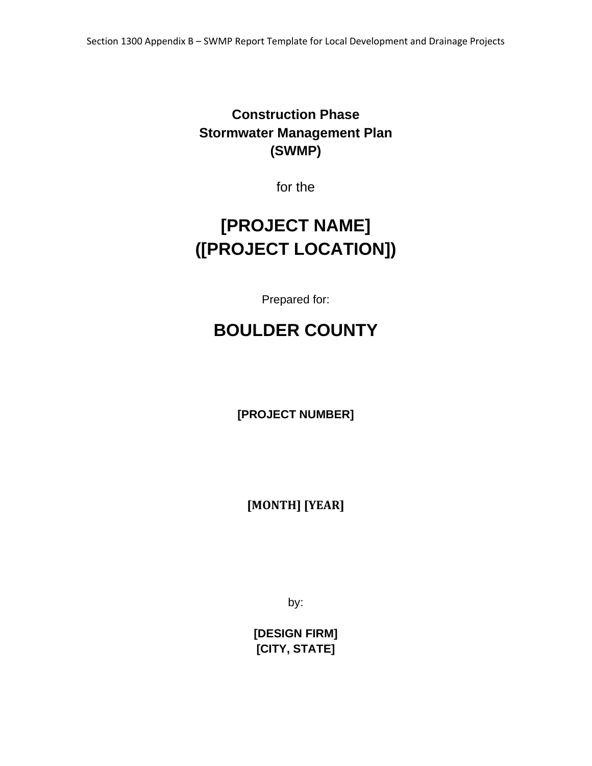# <span id="page-14-0"></span>**Construction Phase Stormwater Management Plan (SWMP)**

for the

# **[PROJECT NAME] ([PROJECT LOCATION])**

Prepared for:

# **BOULDER COUNTY**

**[PROJECT NUMBER]** 

**[MONTH] [YEAR]**

by:

**[DESIGN FIRM] [CITY, STATE]**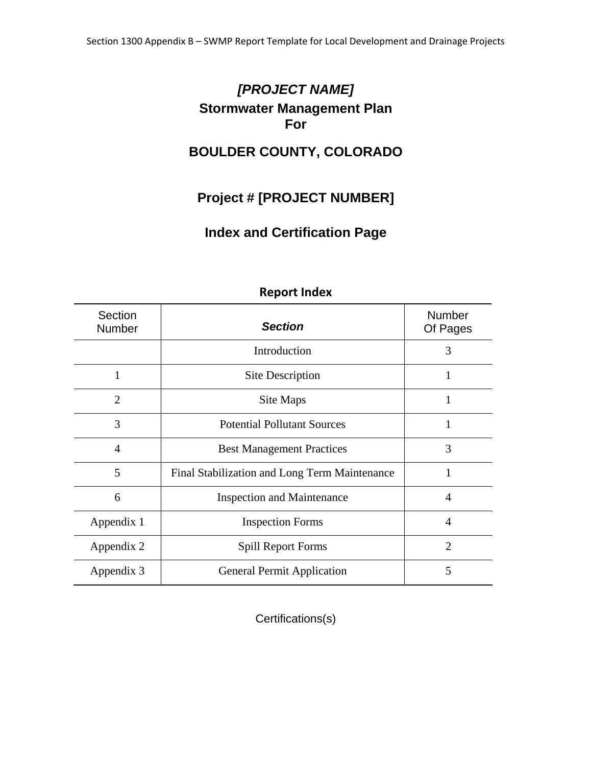# *[PROJECT NAME]*  **Stormwater Management Plan For**

# **BOULDER COUNTY, COLORADO**

# **Project # [PROJECT NUMBER]**

# **Index and Certification Page**

| Section<br><b>Number</b> | <b>Section</b>                                | <b>Number</b><br>Of Pages |
|--------------------------|-----------------------------------------------|---------------------------|
|                          | Introduction                                  | 3                         |
| 1                        | <b>Site Description</b>                       | 1                         |
| $\overline{2}$           | Site Maps                                     | 1                         |
| 3                        | <b>Potential Pollutant Sources</b>            | 1                         |
| $\overline{A}$           | <b>Best Management Practices</b>              | 3                         |
| 5                        | Final Stabilization and Long Term Maintenance |                           |
| 6                        | <b>Inspection and Maintenance</b>             | $\overline{A}$            |
| Appendix 1               | <b>Inspection Forms</b>                       | $\overline{4}$            |
| Appendix 2               | <b>Spill Report Forms</b>                     | $\overline{2}$            |
| Appendix 3               | <b>General Permit Application</b>             | 5                         |

#### **Report Index**

Certifications(s)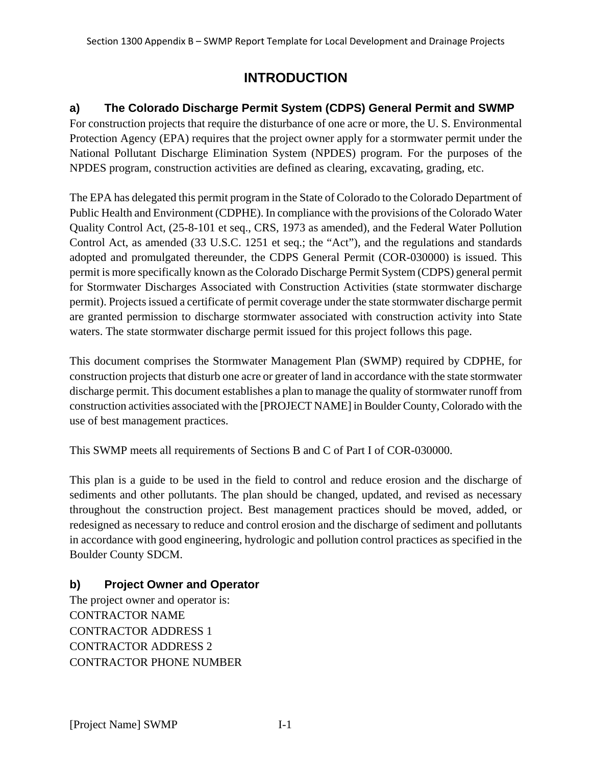# **INTRODUCTION**

## **a) The Colorado Discharge Permit System (CDPS) General Permit and SWMP**

For construction projects that require the disturbance of one acre or more, the U. S. Environmental Protection Agency (EPA) requires that the project owner apply for a stormwater permit under the National Pollutant Discharge Elimination System (NPDES) program. For the purposes of the NPDES program, construction activities are defined as clearing, excavating, grading, etc.

The EPA has delegated this permit program in the State of Colorado to the Colorado Department of Public Health and Environment (CDPHE). In compliance with the provisions of the Colorado Water Quality Control Act, (25-8-101 et seq., CRS, 1973 as amended), and the Federal Water Pollution Control Act, as amended (33 U.S.C. 1251 et seq.; the "Act"), and the regulations and standards adopted and promulgated thereunder, the CDPS General Permit (COR-030000) is issued. This permit is more specifically known as the Colorado Discharge Permit System (CDPS) general permit for Stormwater Discharges Associated with Construction Activities (state stormwater discharge permit). Projects issued a certificate of permit coverage under the state stormwater discharge permit are granted permission to discharge stormwater associated with construction activity into State waters. The state stormwater discharge permit issued for this project follows this page.

This document comprises the Stormwater Management Plan (SWMP) required by CDPHE, for construction projects that disturb one acre or greater of land in accordance with the state stormwater discharge permit. This document establishes a plan to manage the quality of stormwater runoff from construction activities associated with the [PROJECT NAME] in Boulder County, Colorado with the use of best management practices.

This SWMP meets all requirements of Sections B and C of Part I of COR-030000.

This plan is a guide to be used in the field to control and reduce erosion and the discharge of sediments and other pollutants. The plan should be changed, updated, and revised as necessary throughout the construction project. Best management practices should be moved, added, or redesigned as necessary to reduce and control erosion and the discharge of sediment and pollutants in accordance with good engineering, hydrologic and pollution control practices as specified in the Boulder County SDCM.

## **b) Project Owner and Operator**

The project owner and operator is: CONTRACTOR NAME CONTRACTOR ADDRESS 1 CONTRACTOR ADDRESS 2 CONTRACTOR PHONE NUMBER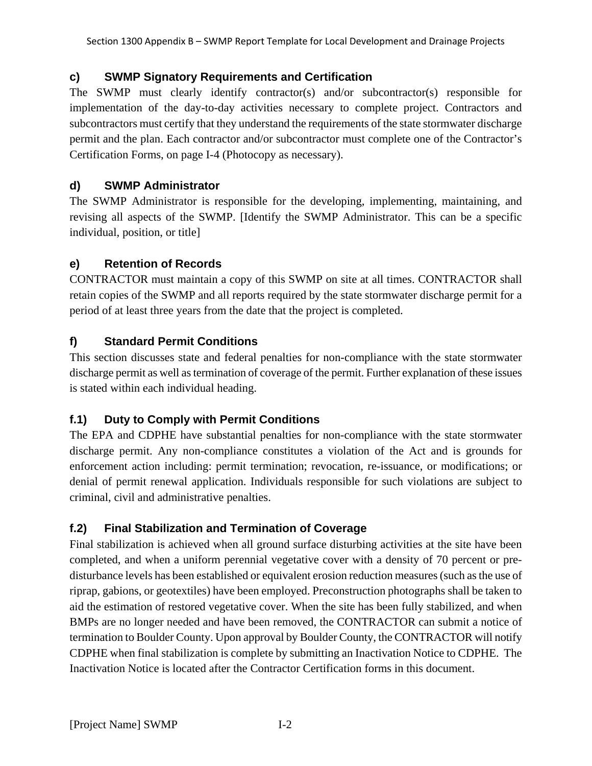## **c) SWMP Signatory Requirements and Certification**

The SWMP must clearly identify contractor(s) and/or subcontractor(s) responsible for implementation of the day-to-day activities necessary to complete project. Contractors and subcontractors must certify that they understand the requirements of the state stormwater discharge permit and the plan. Each contractor and/or subcontractor must complete one of the Contractor's Certification Forms, on page I-4 (Photocopy as necessary).

## **d) SWMP Administrator**

The SWMP Administrator is responsible for the developing, implementing, maintaining, and revising all aspects of the SWMP. [Identify the SWMP Administrator. This can be a specific individual, position, or title]

## **e) Retention of Records**

CONTRACTOR must maintain a copy of this SWMP on site at all times. CONTRACTOR shall retain copies of the SWMP and all reports required by the state stormwater discharge permit for a period of at least three years from the date that the project is completed.

## **f) Standard Permit Conditions**

This section discusses state and federal penalties for non-compliance with the state stormwater discharge permit as well as termination of coverage of the permit. Further explanation of these issues is stated within each individual heading.

## **f.1) Duty to Comply with Permit Conditions**

The EPA and CDPHE have substantial penalties for non-compliance with the state stormwater discharge permit. Any non-compliance constitutes a violation of the Act and is grounds for enforcement action including: permit termination; revocation, re-issuance, or modifications; or denial of permit renewal application. Individuals responsible for such violations are subject to criminal, civil and administrative penalties.

## **f.2) Final Stabilization and Termination of Coverage**

Final stabilization is achieved when all ground surface disturbing activities at the site have been completed, and when a uniform perennial vegetative cover with a density of 70 percent or predisturbance levels has been established or equivalent erosion reduction measures (such as the use of riprap, gabions, or geotextiles) have been employed. Preconstruction photographs shall be taken to aid the estimation of restored vegetative cover. When the site has been fully stabilized, and when BMPs are no longer needed and have been removed, the CONTRACTOR can submit a notice of termination to Boulder County. Upon approval by Boulder County, the CONTRACTOR will notify CDPHE when final stabilization is complete by submitting an Inactivation Notice to CDPHE. The Inactivation Notice is located after the Contractor Certification forms in this document.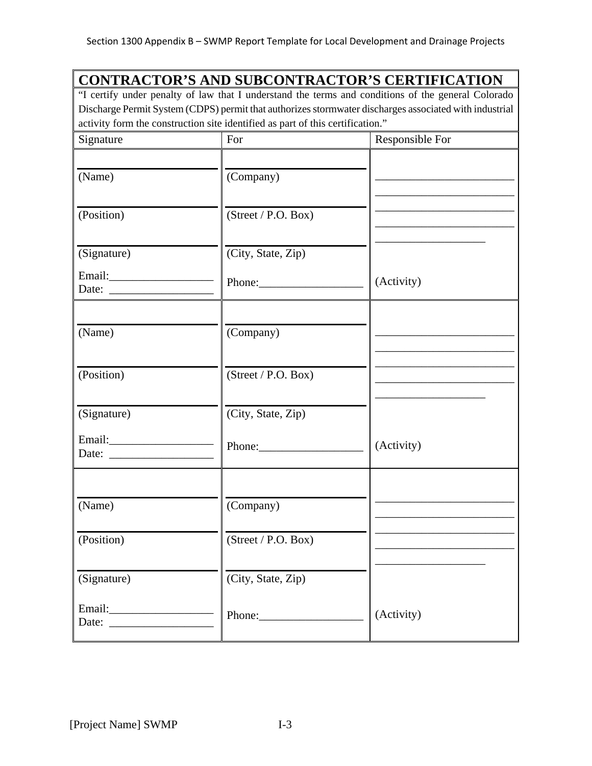## **CONTRACTOR'S AND SUBCONTRACTOR'S CERTIFICATION**

"I certify under penalty of law that I understand the terms and conditions of the general Colorado Discharge Permit System (CDPS) permit that authorizes stormwater discharges associated with industrial activity form the construction site identified as part of this certification."

| Signature   | For                 | Responsible For |
|-------------|---------------------|-----------------|
| (Name)      | (Company)           |                 |
| (Position)  | (Street / P.O. Box) |                 |
| (Signature) | (City, State, Zip)  |                 |
|             |                     | (Activity)      |
| (Name)      | (Company)           |                 |
| (Position)  | (Street / P.O. Box) |                 |
| (Signature) | (City, State, Zip)  |                 |
|             | Phone:              | (Activity)      |
| (Name)      | (Company)           |                 |
| (Position)  | (Street / P.O. Box) |                 |
| (Signature) | (City, State, Zip)  |                 |
|             |                     | (Activity)      |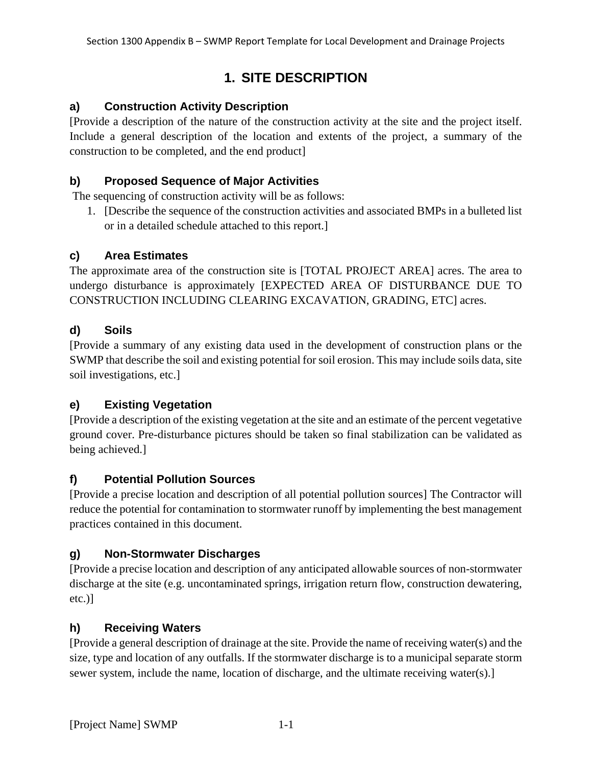# **1. SITE DESCRIPTION**

## **a) Construction Activity Description**

[Provide a description of the nature of the construction activity at the site and the project itself. Include a general description of the location and extents of the project, a summary of the construction to be completed, and the end product]

#### **b) Proposed Sequence of Major Activities**

The sequencing of construction activity will be as follows:

1. [Describe the sequence of the construction activities and associated BMPs in a bulleted list or in a detailed schedule attached to this report.]

#### **c) Area Estimates**

The approximate area of the construction site is [TOTAL PROJECT AREA] acres. The area to undergo disturbance is approximately [EXPECTED AREA OF DISTURBANCE DUE TO CONSTRUCTION INCLUDING CLEARING EXCAVATION, GRADING, ETC] acres.

#### **d) Soils**

[Provide a summary of any existing data used in the development of construction plans or the SWMP that describe the soil and existing potential for soil erosion. This may include soils data, site soil investigations, etc.]

## **e) Existing Vegetation**

[Provide a description of the existing vegetation at the site and an estimate of the percent vegetative ground cover. Pre-disturbance pictures should be taken so final stabilization can be validated as being achieved.]

#### **f) Potential Pollution Sources**

[Provide a precise location and description of all potential pollution sources] The Contractor will reduce the potential for contamination to stormwater runoff by implementing the best management practices contained in this document.

#### **g) Non-Stormwater Discharges**

[Provide a precise location and description of any anticipated allowable sources of non-stormwater discharge at the site (e.g. uncontaminated springs, irrigation return flow, construction dewatering, etc.)]

#### **h) Receiving Waters**

[Provide a general description of drainage at the site. Provide the name of receiving water(s) and the size, type and location of any outfalls. If the stormwater discharge is to a municipal separate storm sewer system, include the name, location of discharge, and the ultimate receiving water(s).]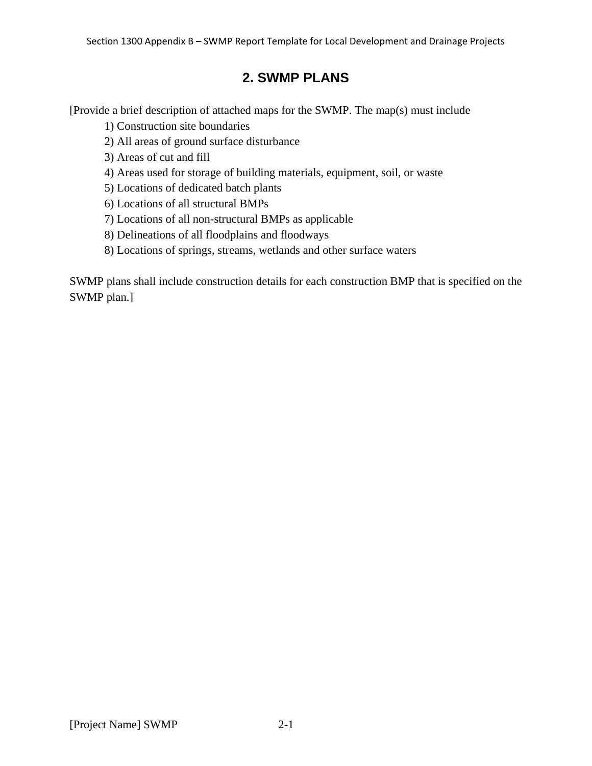# **2. SWMP PLANS**

[Provide a brief description of attached maps for the SWMP. The map(s) must include

1) Construction site boundaries

2) All areas of ground surface disturbance

3) Areas of cut and fill

4) Areas used for storage of building materials, equipment, soil, or waste

5) Locations of dedicated batch plants

6) Locations of all structural BMPs

7) Locations of all non-structural BMPs as applicable

- 8) Delineations of all floodplains and floodways
- 8) Locations of springs, streams, wetlands and other surface waters

SWMP plans shall include construction details for each construction BMP that is specified on the SWMP plan.]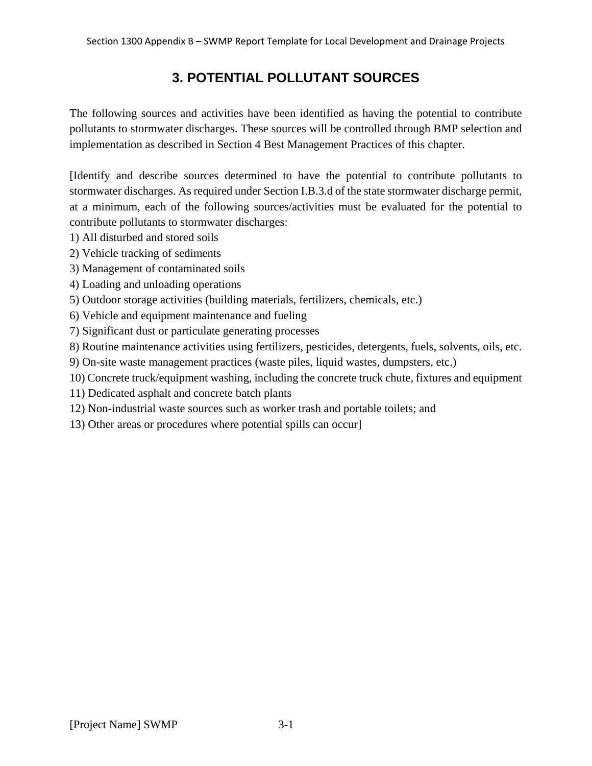# **3. POTENTIAL POLLUTANT SOURCES**

The following sources and activities have been identified as having the potential to contribute pollutants to stormwater discharges. These sources will be controlled through BMP selection and implementation as described in Section 4 Best Management Practices of this chapter.

[Identify and describe sources determined to have the potential to contribute pollutants to stormwater discharges. As required under Section I.B.3.d of the state stormwater discharge permit, at a minimum, each of the following sources/activities must be evaluated for the potential to contribute pollutants to stormwater discharges:

- 1) All disturbed and stored soils
- 2) Vehicle tracking of sediments
- 3) Management of contaminated soils
- 4) Loading and unloading operations
- 5) Outdoor storage activities (building materials, fertilizers, chemicals, etc.)
- 6) Vehicle and equipment maintenance and fueling
- 7) Significant dust or particulate generating processes
- 8) Routine maintenance activities using fertilizers, pesticides, detergents, fuels, solvents, oils, etc.
- 9) On-site waste management practices (waste piles, liquid wastes, dumpsters, etc.)
- 10) Concrete truck/equipment washing, including the concrete truck chute, fixtures and equipment
- 11) Dedicated asphalt and concrete batch plants
- 12) Non-industrial waste sources such as worker trash and portable toilets; and
- 13) Other areas or procedures where potential spills can occur]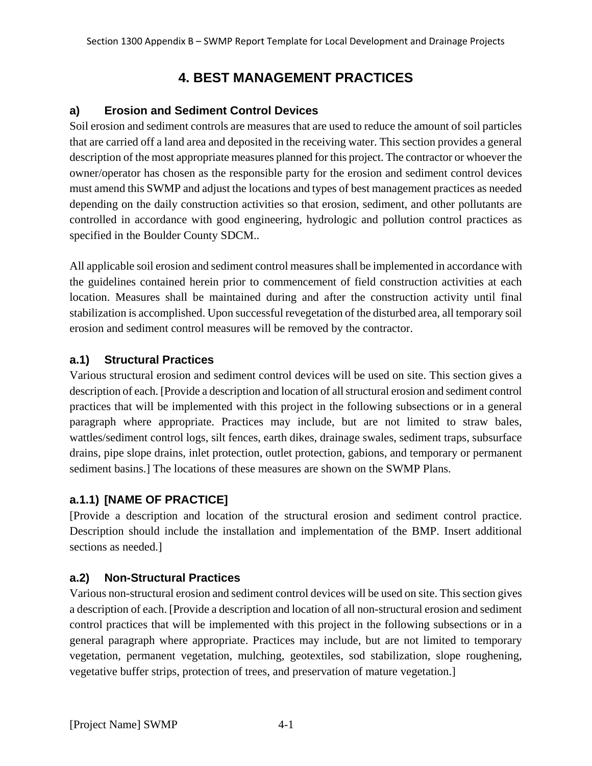# **4. BEST MANAGEMENT PRACTICES**

#### **a) Erosion and Sediment Control Devices**

Soil erosion and sediment controls are measures that are used to reduce the amount of soil particles that are carried off a land area and deposited in the receiving water. This section provides a general description of the most appropriate measures planned for this project. The contractor or whoever the owner/operator has chosen as the responsible party for the erosion and sediment control devices must amend this SWMP and adjust the locations and types of best management practices as needed depending on the daily construction activities so that erosion, sediment, and other pollutants are controlled in accordance with good engineering, hydrologic and pollution control practices as specified in the Boulder County SDCM..

All applicable soil erosion and sediment control measures shall be implemented in accordance with the guidelines contained herein prior to commencement of field construction activities at each location. Measures shall be maintained during and after the construction activity until final stabilization is accomplished. Upon successful revegetation of the disturbed area, all temporary soil erosion and sediment control measures will be removed by the contractor.

#### **a.1) Structural Practices**

Various structural erosion and sediment control devices will be used on site. This section gives a description of each. [Provide a description and location of all structural erosion and sediment control practices that will be implemented with this project in the following subsections or in a general paragraph where appropriate. Practices may include, but are not limited to straw bales, wattles/sediment control logs, silt fences, earth dikes, drainage swales, sediment traps, subsurface drains, pipe slope drains, inlet protection, outlet protection, gabions, and temporary or permanent sediment basins.] The locations of these measures are shown on the SWMP Plans.

## **a.1.1) [NAME OF PRACTICE]**

[Provide a description and location of the structural erosion and sediment control practice. Description should include the installation and implementation of the BMP. Insert additional sections as needed.]

## **a.2) Non-Structural Practices**

Various non-structural erosion and sediment control devices will be used on site. This section gives a description of each. [Provide a description and location of all non-structural erosion and sediment control practices that will be implemented with this project in the following subsections or in a general paragraph where appropriate. Practices may include, but are not limited to temporary vegetation, permanent vegetation, mulching, geotextiles, sod stabilization, slope roughening, vegetative buffer strips, protection of trees, and preservation of mature vegetation.]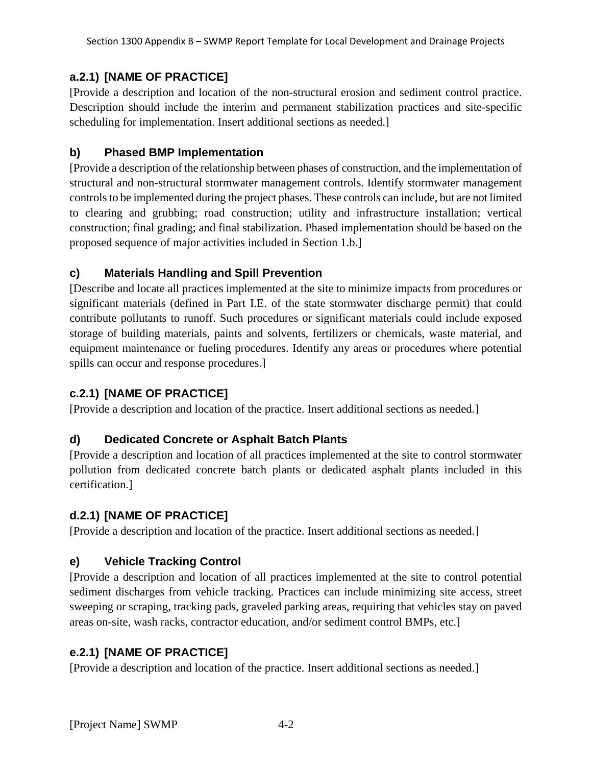## **a.2.1) [NAME OF PRACTICE]**

[Provide a description and location of the non-structural erosion and sediment control practice. Description should include the interim and permanent stabilization practices and site-specific scheduling for implementation. Insert additional sections as needed.]

#### **b) Phased BMP Implementation**

[Provide a description of the relationship between phases of construction, and the implementation of structural and non-structural stormwater management controls. Identify stormwater management controls to be implemented during the project phases. These controls can include, but are not limited to clearing and grubbing; road construction; utility and infrastructure installation; vertical construction; final grading; and final stabilization. Phased implementation should be based on the proposed sequence of major activities included in Section 1.b.]

## **c) Materials Handling and Spill Prevention**

[Describe and locate all practices implemented at the site to minimize impacts from procedures or significant materials (defined in Part I.E. of the state stormwater discharge permit) that could contribute pollutants to runoff. Such procedures or significant materials could include exposed storage of building materials, paints and solvents, fertilizers or chemicals, waste material, and equipment maintenance or fueling procedures. Identify any areas or procedures where potential spills can occur and response procedures.]

## **c.2.1) [NAME OF PRACTICE]**

[Provide a description and location of the practice. Insert additional sections as needed.]

## **d) Dedicated Concrete or Asphalt Batch Plants**

[Provide a description and location of all practices implemented at the site to control stormwater pollution from dedicated concrete batch plants or dedicated asphalt plants included in this certification.]

## **d.2.1) [NAME OF PRACTICE]**

[Provide a description and location of the practice. Insert additional sections as needed.]

## **e) Vehicle Tracking Control**

[Provide a description and location of all practices implemented at the site to control potential sediment discharges from vehicle tracking. Practices can include minimizing site access, street sweeping or scraping, tracking pads, graveled parking areas, requiring that vehicles stay on paved areas on-site, wash racks, contractor education, and/or sediment control BMPs, etc.]

## **e.2.1) [NAME OF PRACTICE]**

[Provide a description and location of the practice. Insert additional sections as needed.]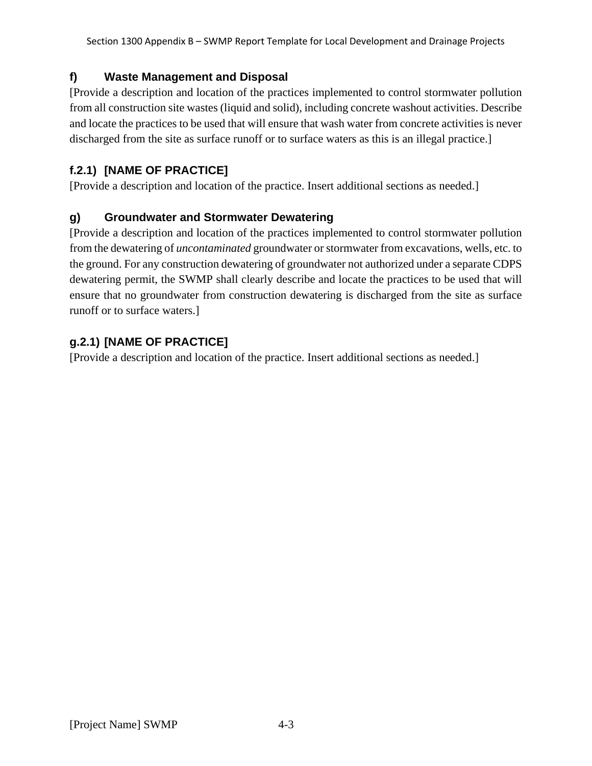## **f) Waste Management and Disposal**

[Provide a description and location of the practices implemented to control stormwater pollution from all construction site wastes (liquid and solid), including concrete washout activities. Describe and locate the practices to be used that will ensure that wash water from concrete activities is never discharged from the site as surface runoff or to surface waters as this is an illegal practice.

## **f.2.1) [NAME OF PRACTICE]**

[Provide a description and location of the practice. Insert additional sections as needed.]

## **g) Groundwater and Stormwater Dewatering**

[Provide a description and location of the practices implemented to control stormwater pollution from the dewatering of *uncontaminated* groundwater or stormwater from excavations, wells, etc. to the ground. For any construction dewatering of groundwater not authorized under a separate CDPS dewatering permit, the SWMP shall clearly describe and locate the practices to be used that will ensure that no groundwater from construction dewatering is discharged from the site as surface runoff or to surface waters.]

## **g.2.1) [NAME OF PRACTICE]**

[Provide a description and location of the practice. Insert additional sections as needed.]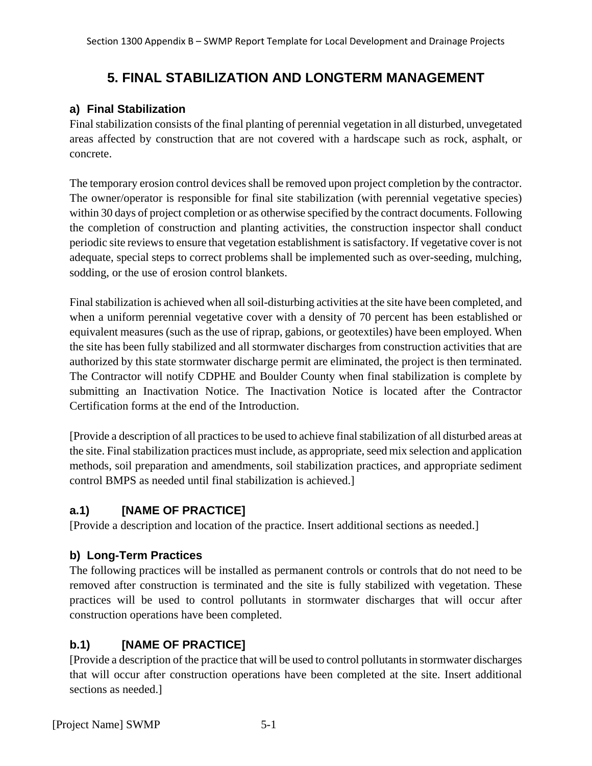# **5. FINAL STABILIZATION AND LONGTERM MANAGEMENT**

#### **a) Final Stabilization**

Final stabilization consists of the final planting of perennial vegetation in all disturbed, unvegetated areas affected by construction that are not covered with a hardscape such as rock, asphalt, or concrete.

The temporary erosion control devices shall be removed upon project completion by the contractor. The owner/operator is responsible for final site stabilization (with perennial vegetative species) within 30 days of project completion or as otherwise specified by the contract documents. Following the completion of construction and planting activities, the construction inspector shall conduct periodic site reviews to ensure that vegetation establishment is satisfactory. If vegetative cover is not adequate, special steps to correct problems shall be implemented such as over-seeding, mulching, sodding, or the use of erosion control blankets.

Final stabilization is achieved when all soil-disturbing activities at the site have been completed, and when a uniform perennial vegetative cover with a density of 70 percent has been established or equivalent measures (such as the use of riprap, gabions, or geotextiles) have been employed. When the site has been fully stabilized and all stormwater discharges from construction activities that are authorized by this state stormwater discharge permit are eliminated, the project is then terminated. The Contractor will notify CDPHE and Boulder County when final stabilization is complete by submitting an Inactivation Notice. The Inactivation Notice is located after the Contractor Certification forms at the end of the Introduction.

[Provide a description of all practices to be used to achieve final stabilization of all disturbed areas at the site. Final stabilization practices must include, as appropriate, seed mix selection and application methods, soil preparation and amendments, soil stabilization practices, and appropriate sediment control BMPS as needed until final stabilization is achieved.]

## **a.1) [NAME OF PRACTICE]**

[Provide a description and location of the practice. Insert additional sections as needed.]

## **b) Long-Term Practices**

The following practices will be installed as permanent controls or controls that do not need to be removed after construction is terminated and the site is fully stabilized with vegetation. These practices will be used to control pollutants in stormwater discharges that will occur after construction operations have been completed.

## **b.1) [NAME OF PRACTICE]**

[Provide a description of the practice that will be used to control pollutants in stormwater discharges that will occur after construction operations have been completed at the site. Insert additional sections as needed.]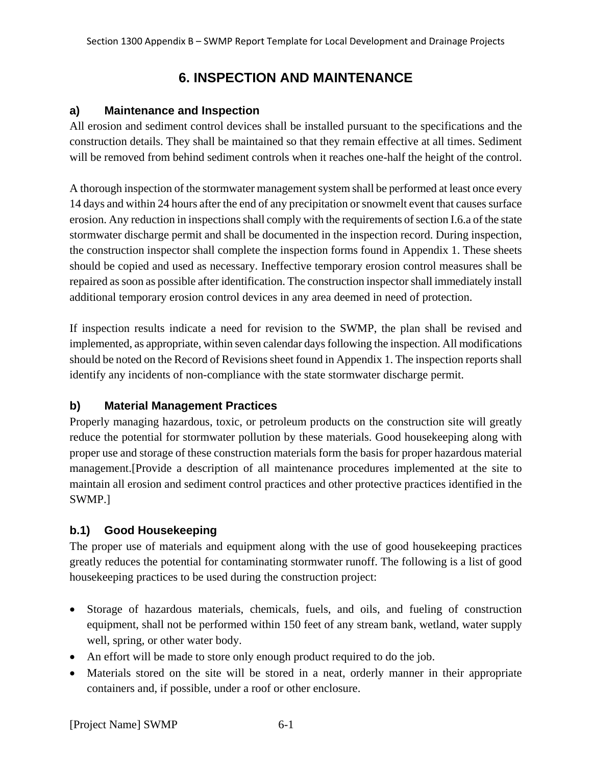# **6. INSPECTION AND MAINTENANCE**

#### **a) Maintenance and Inspection**

All erosion and sediment control devices shall be installed pursuant to the specifications and the construction details. They shall be maintained so that they remain effective at all times. Sediment will be removed from behind sediment controls when it reaches one-half the height of the control.

A thorough inspection of the stormwater management system shall be performed at least once every 14 days and within 24 hours after the end of any precipitation or snowmelt event that causes surface erosion. Any reduction in inspections shall comply with the requirements of section I.6.a of the state stormwater discharge permit and shall be documented in the inspection record. During inspection, the construction inspector shall complete the inspection forms found in Appendix 1. These sheets should be copied and used as necessary. Ineffective temporary erosion control measures shall be repaired as soon as possible after identification. The construction inspector shall immediately install additional temporary erosion control devices in any area deemed in need of protection.

If inspection results indicate a need for revision to the SWMP, the plan shall be revised and implemented, as appropriate, within seven calendar days following the inspection. All modifications should be noted on the Record of Revisions sheet found in Appendix 1. The inspection reports shall identify any incidents of non-compliance with the state stormwater discharge permit.

#### **b) Material Management Practices**

Properly managing hazardous, toxic, or petroleum products on the construction site will greatly reduce the potential for stormwater pollution by these materials. Good housekeeping along with proper use and storage of these construction materials form the basis for proper hazardous material management.[Provide a description of all maintenance procedures implemented at the site to maintain all erosion and sediment control practices and other protective practices identified in the SWMP.]

## **b.1) Good Housekeeping**

The proper use of materials and equipment along with the use of good housekeeping practices greatly reduces the potential for contaminating stormwater runoff. The following is a list of good housekeeping practices to be used during the construction project:

- Storage of hazardous materials, chemicals, fuels, and oils, and fueling of construction equipment, shall not be performed within 150 feet of any stream bank, wetland, water supply well, spring, or other water body.
- An effort will be made to store only enough product required to do the job.
- Materials stored on the site will be stored in a neat, orderly manner in their appropriate containers and, if possible, under a roof or other enclosure.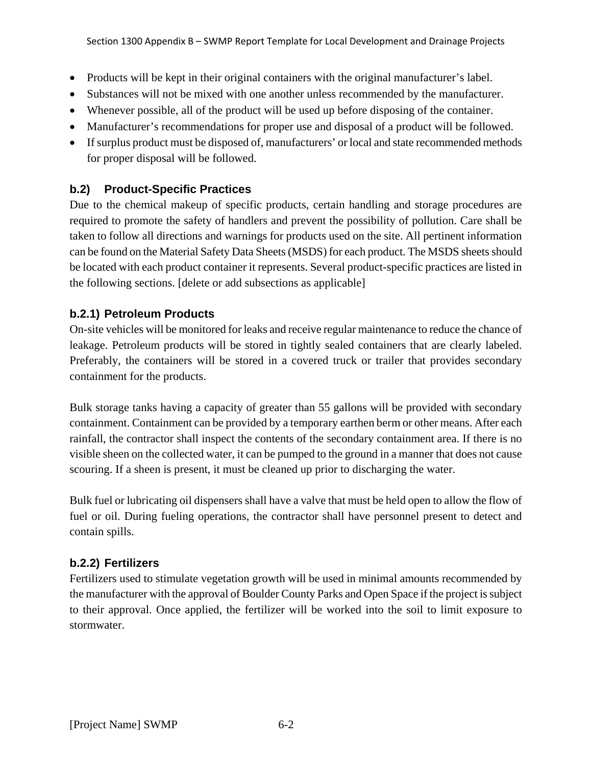- Products will be kept in their original containers with the original manufacturer's label.
- Substances will not be mixed with one another unless recommended by the manufacturer.
- Whenever possible, all of the product will be used up before disposing of the container.
- Manufacturer's recommendations for proper use and disposal of a product will be followed.
- If surplus product must be disposed of, manufacturers' or local and state recommended methods for proper disposal will be followed.

#### **b.2) Product-Specific Practices**

Due to the chemical makeup of specific products, certain handling and storage procedures are required to promote the safety of handlers and prevent the possibility of pollution. Care shall be taken to follow all directions and warnings for products used on the site. All pertinent information can be found on the Material Safety Data Sheets (MSDS) for each product. The MSDS sheets should be located with each product container it represents. Several product-specific practices are listed in the following sections. [delete or add subsections as applicable]

#### **b.2.1) Petroleum Products**

On-site vehicles will be monitored for leaks and receive regular maintenance to reduce the chance of leakage. Petroleum products will be stored in tightly sealed containers that are clearly labeled. Preferably, the containers will be stored in a covered truck or trailer that provides secondary containment for the products.

Bulk storage tanks having a capacity of greater than 55 gallons will be provided with secondary containment. Containment can be provided by a temporary earthen berm or other means. After each rainfall, the contractor shall inspect the contents of the secondary containment area. If there is no visible sheen on the collected water, it can be pumped to the ground in a manner that does not cause scouring. If a sheen is present, it must be cleaned up prior to discharging the water.

Bulk fuel or lubricating oil dispensers shall have a valve that must be held open to allow the flow of fuel or oil. During fueling operations, the contractor shall have personnel present to detect and contain spills.

#### **b.2.2) Fertilizers**

Fertilizers used to stimulate vegetation growth will be used in minimal amounts recommended by the manufacturer with the approval of Boulder County Parks and Open Space if the project is subject to their approval. Once applied, the fertilizer will be worked into the soil to limit exposure to stormwater.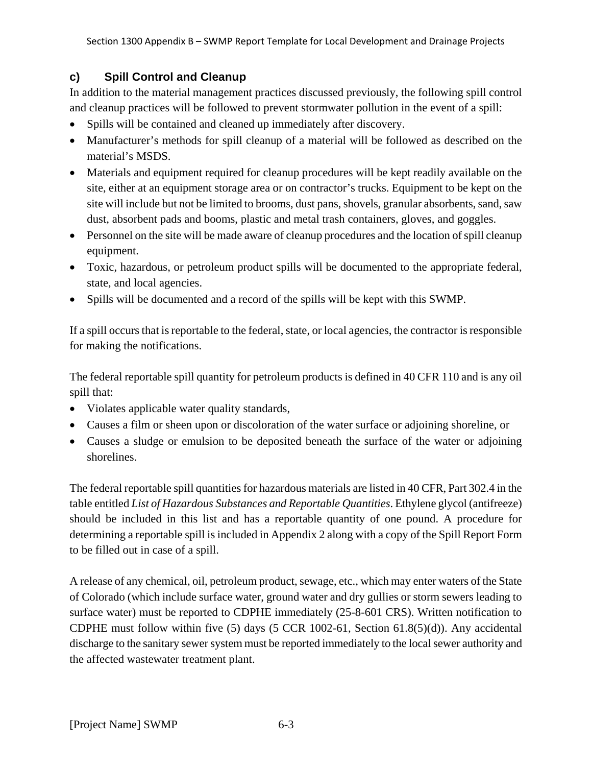#### **c) Spill Control and Cleanup**

In addition to the material management practices discussed previously, the following spill control and cleanup practices will be followed to prevent stormwater pollution in the event of a spill:

- Spills will be contained and cleaned up immediately after discovery.
- Manufacturer's methods for spill cleanup of a material will be followed as described on the material's MSDS.
- Materials and equipment required for cleanup procedures will be kept readily available on the site, either at an equipment storage area or on contractor's trucks. Equipment to be kept on the site will include but not be limited to brooms, dust pans, shovels, granular absorbents, sand, saw dust, absorbent pads and booms, plastic and metal trash containers, gloves, and goggles.
- Personnel on the site will be made aware of cleanup procedures and the location of spill cleanup equipment.
- Toxic, hazardous, or petroleum product spills will be documented to the appropriate federal, state, and local agencies.
- Spills will be documented and a record of the spills will be kept with this SWMP.

If a spill occurs that is reportable to the federal, state, or local agencies, the contractor is responsible for making the notifications.

The federal reportable spill quantity for petroleum products is defined in 40 CFR 110 and is any oil spill that:

- Violates applicable water quality standards,
- Causes a film or sheen upon or discoloration of the water surface or adjoining shoreline, or
- Causes a sludge or emulsion to be deposited beneath the surface of the water or adjoining shorelines.

The federal reportable spill quantities for hazardous materials are listed in 40 CFR, Part 302.4 in the table entitled *List of Hazardous Substances and Reportable Quantities*. Ethylene glycol (antifreeze) should be included in this list and has a reportable quantity of one pound. A procedure for determining a reportable spill is included in Appendix 2 along with a copy of the Spill Report Form to be filled out in case of a spill.

A release of any chemical, oil, petroleum product, sewage, etc., which may enter waters of the State of Colorado (which include surface water, ground water and dry gullies or storm sewers leading to surface water) must be reported to CDPHE immediately (25-8-601 CRS). Written notification to CDPHE must follow within five (5) days (5 CCR 1002-61, Section 61.8(5)(d)). Any accidental discharge to the sanitary sewer system must be reported immediately to the local sewer authority and the affected wastewater treatment plant.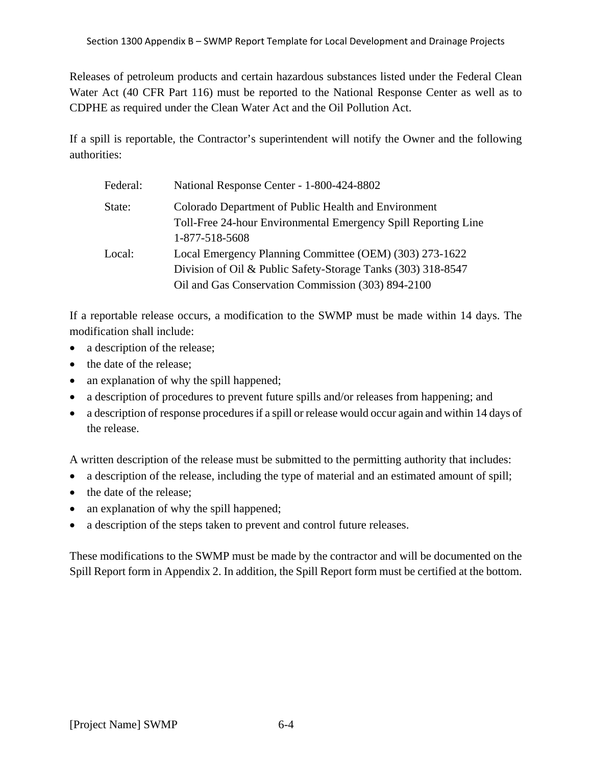Releases of petroleum products and certain hazardous substances listed under the Federal Clean Water Act (40 CFR Part 116) must be reported to the National Response Center as well as to CDPHE as required under the Clean Water Act and the Oil Pollution Act.

If a spill is reportable, the Contractor's superintendent will notify the Owner and the following authorities:

| Federal: | National Response Center - 1-800-424-8802                                                                                                                                     |
|----------|-------------------------------------------------------------------------------------------------------------------------------------------------------------------------------|
| State:   | Colorado Department of Public Health and Environment<br>Toll-Free 24-hour Environmental Emergency Spill Reporting Line<br>1-877-518-5608                                      |
| Local:   | Local Emergency Planning Committee (OEM) (303) 273-1622<br>Division of Oil & Public Safety-Storage Tanks (303) 318-8547<br>Oil and Gas Conservation Commission (303) 894-2100 |

If a reportable release occurs, a modification to the SWMP must be made within 14 days. The modification shall include:

- a description of the release;
- the date of the release:
- an explanation of why the spill happened;
- a description of procedures to prevent future spills and/or releases from happening; and
- a description of response procedures if a spill or release would occur again and within 14 days of the release.

A written description of the release must be submitted to the permitting authority that includes:

- a description of the release, including the type of material and an estimated amount of spill;
- the date of the release:
- an explanation of why the spill happened;
- a description of the steps taken to prevent and control future releases.

These modifications to the SWMP must be made by the contractor and will be documented on the Spill Report form in Appendix 2. In addition, the Spill Report form must be certified at the bottom.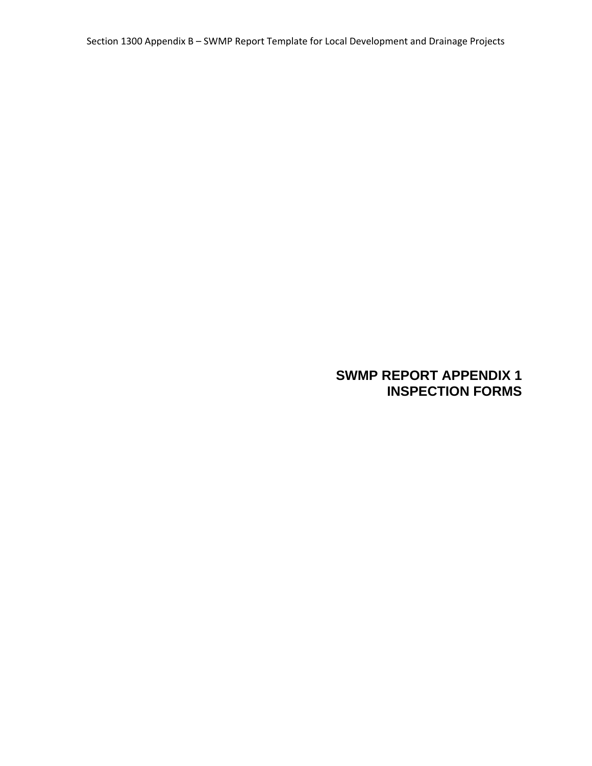## **SWMP REPORT APPENDIX 1 INSPECTION FORMS**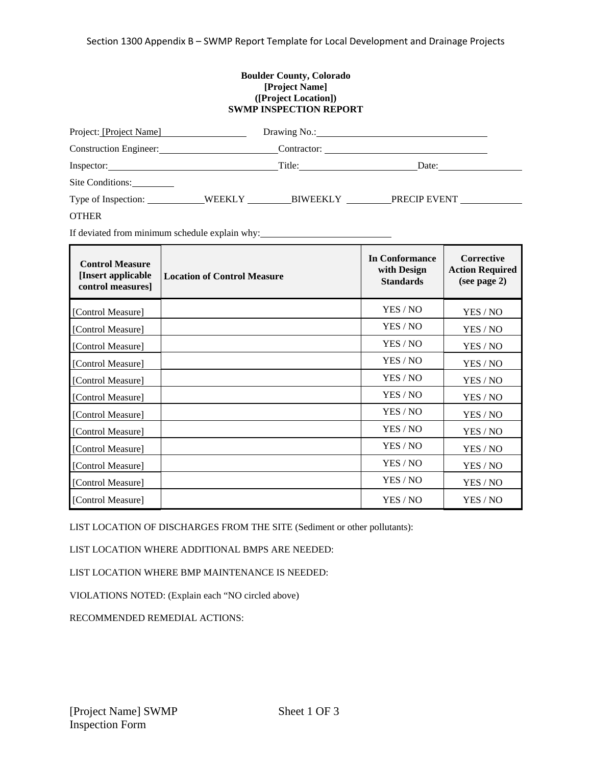#### **Boulder County, Colorado [Project Name] ([Project Location]) SWMP INSPECTION REPORT**

| Project: [Project Name] |        | Drawing No.:    |              |  |
|-------------------------|--------|-----------------|--------------|--|
|                         |        |                 |              |  |
| Inspector:              |        | Title:          | Date:        |  |
| Site Conditions:        |        |                 |              |  |
| Type of Inspection:     | WEEKLY | <b>BIWEEKLY</b> | PRECIP EVENT |  |
| <b>OTHER</b>            |        |                 |              |  |

If deviated from minimum schedule explain why:

| <b>Control Measure</b><br>[Insert applicable<br>control measures] | <b>Location of Control Measure</b> | In Conformance<br>with Design<br><b>Standards</b> | <b>Corrective</b><br><b>Action Required</b><br>(see page 2) |
|-------------------------------------------------------------------|------------------------------------|---------------------------------------------------|-------------------------------------------------------------|
| [Control Measure]                                                 |                                    | YES / NO                                          | YES / NO                                                    |
| [Control Measure]                                                 |                                    | YES / NO                                          | YES / NO                                                    |
| [Control Measure]                                                 |                                    | YES / NO                                          | YES / NO                                                    |
| [Control Measure]                                                 |                                    | YES / NO                                          | YES / NO                                                    |
| [Control Measure]                                                 |                                    | YES / NO                                          | YES / NO                                                    |
| [Control Measure]                                                 |                                    | YES / NO                                          | YES / NO                                                    |
| [Control Measure]                                                 |                                    | YES / NO                                          | YES / NO                                                    |
| [Control Measure]                                                 |                                    | YES / NO                                          | YES / NO                                                    |
| [Control Measure]                                                 |                                    | YES / NO                                          | YES / NO                                                    |
| [Control Measure]                                                 |                                    | YES / NO                                          | YES / NO                                                    |
| [Control Measure]                                                 |                                    | YES / NO                                          | YES / NO                                                    |
| [Control Measure]                                                 |                                    | YES / NO                                          | YES / NO                                                    |

LIST LOCATION OF DISCHARGES FROM THE SITE (Sediment or other pollutants):

LIST LOCATION WHERE ADDITIONAL BMPS ARE NEEDED:

LIST LOCATION WHERE BMP MAINTENANCE IS NEEDED:

VIOLATIONS NOTED: (Explain each "NO circled above)

RECOMMENDED REMEDIAL ACTIONS: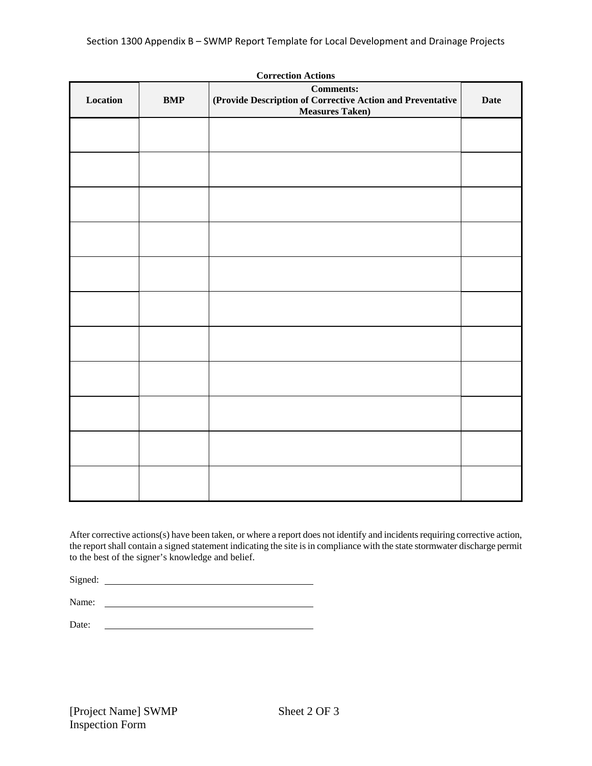|          |            | <b>Correction Actions</b><br><b>Comments:</b>                                        |             |
|----------|------------|--------------------------------------------------------------------------------------|-------------|
| Location | <b>BMP</b> | (Provide Description of Corrective Action and Preventative<br><b>Measures Taken)</b> | <b>Date</b> |
|          |            |                                                                                      |             |
|          |            |                                                                                      |             |
|          |            |                                                                                      |             |
|          |            |                                                                                      |             |
|          |            |                                                                                      |             |
|          |            |                                                                                      |             |
|          |            |                                                                                      |             |
|          |            |                                                                                      |             |
|          |            |                                                                                      |             |
|          |            |                                                                                      |             |
|          |            |                                                                                      |             |
|          |            |                                                                                      |             |

After corrective actions(s) have been taken, or where a report does not identify and incidents requiring corrective action, the report shall contain a signed statement indicating the site is in compliance with the state stormwater discharge permit to the best of the signer's knowledge and belief.

Signed:

Name:

Date: <u> 1980 - Johann Barn, mars ann an t-Amhain Aonaich an t-Aonaich an t-Aonaich ann an t-Aonaich ann an t-Aonaich</u>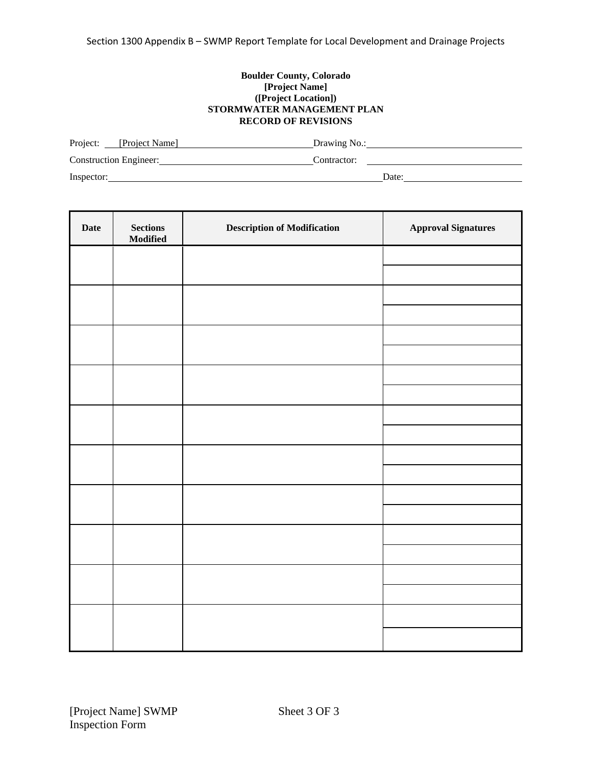#### **Boulder County, Colorado [Project Name] ([Project Location]) STORMWATER MANAGEMENT PLAN RECORD OF REVISIONS**

| Project: [Project Name]       | Drawing No.: |
|-------------------------------|--------------|
| <b>Construction Engineer:</b> | Contractor:  |
| Inspector:                    | Date:        |

| Date | $\begin{minipage}{.4\linewidth} \textbf{Sections} \end{minipage} \vspace{-0.5em}$<br><b>Modified</b> | <b>Description of Modification</b> | <b>Approval Signatures</b> |
|------|------------------------------------------------------------------------------------------------------|------------------------------------|----------------------------|
|      |                                                                                                      |                                    |                            |
|      |                                                                                                      |                                    |                            |
|      |                                                                                                      |                                    |                            |
|      |                                                                                                      |                                    |                            |
|      |                                                                                                      |                                    |                            |
|      |                                                                                                      |                                    |                            |
|      |                                                                                                      |                                    |                            |
|      |                                                                                                      |                                    |                            |
|      |                                                                                                      |                                    |                            |
|      |                                                                                                      |                                    |                            |
|      |                                                                                                      |                                    |                            |
|      |                                                                                                      |                                    |                            |
|      |                                                                                                      |                                    |                            |
|      |                                                                                                      |                                    |                            |
|      |                                                                                                      |                                    |                            |
|      |                                                                                                      |                                    |                            |
|      |                                                                                                      |                                    |                            |
|      |                                                                                                      |                                    |                            |
|      |                                                                                                      |                                    |                            |
|      |                                                                                                      |                                    |                            |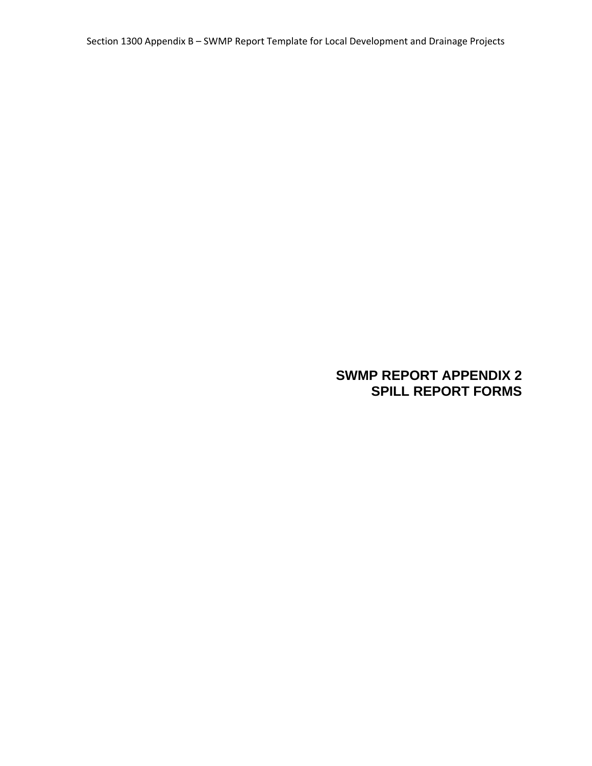## **SWMP REPORT APPENDIX 2 SPILL REPORT FORMS**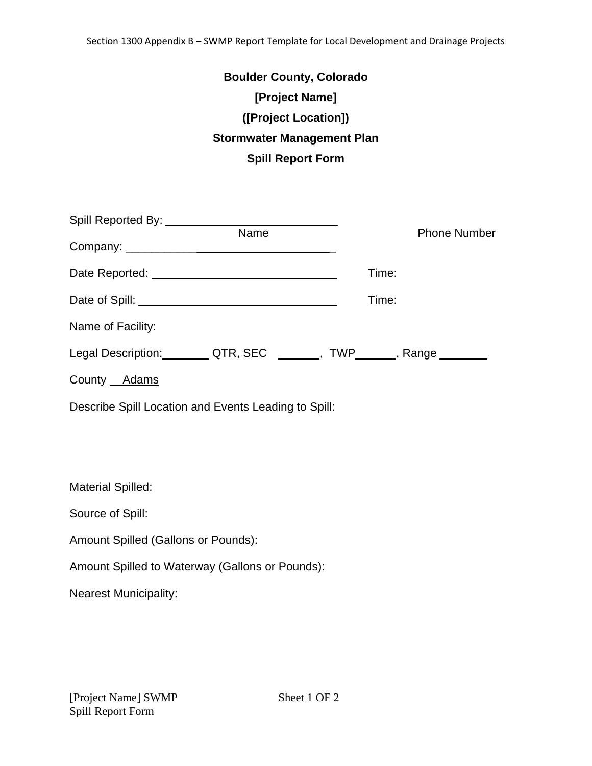| <b>Boulder County, Colorado</b>   |
|-----------------------------------|
| [Project Name]                    |
| ([Project Location])              |
| <b>Stormwater Management Plan</b> |
| <b>Spill Report Form</b>          |

| <b>Name</b>                                                              | <b>Phone Number</b> |  |
|--------------------------------------------------------------------------|---------------------|--|
|                                                                          |                     |  |
|                                                                          | Time:               |  |
|                                                                          | Time:               |  |
| Name of Facility:                                                        |                     |  |
| Legal Description: _________ QTR, SEC _______, TWP_______, Range _______ |                     |  |
| County Adams                                                             |                     |  |
| Describe Spill Location and Events Leading to Spill:                     |                     |  |

Material Spilled: Source of Spill: Amount Spilled (Gallons or Pounds): Amount Spilled to Waterway (Gallons or Pounds): Nearest Municipality: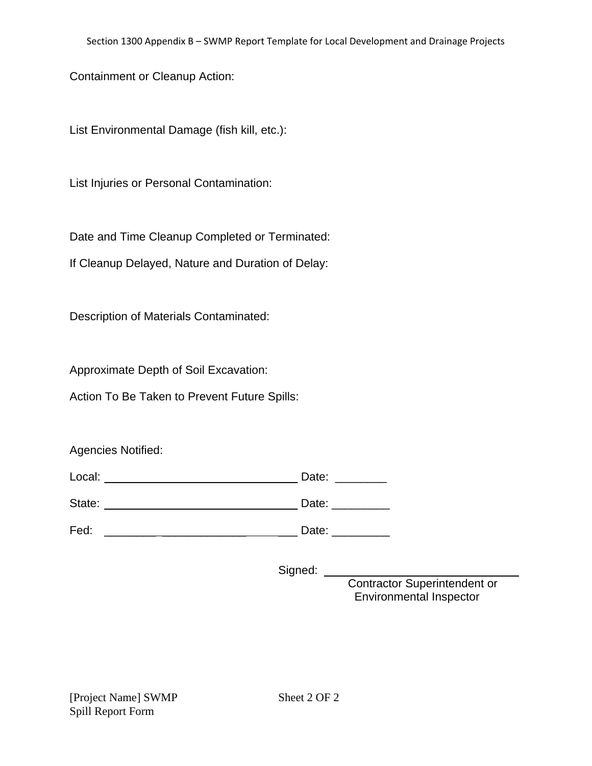Containment or Cleanup Action:

List Environmental Damage (fish kill, etc.):

List Injuries or Personal Contamination:

Date and Time Cleanup Completed or Terminated:

If Cleanup Delayed, Nature and Duration of Delay:

Description of Materials Contaminated:

Approximate Depth of Soil Excavation:

Action To Be Taken to Prevent Future Spills:

Agencies Notified:

| Local: | Date: |
|--------|-------|
| State: | Date: |
| Fed:   | Date: |

Signed: \_\_

 Contractor Superintendent or Environmental Inspector